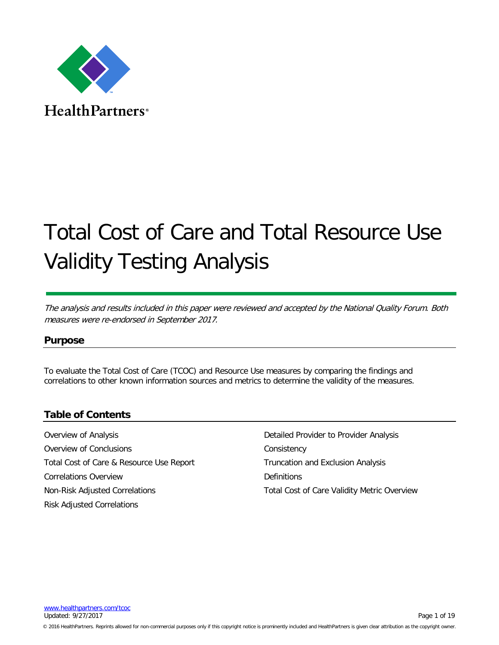

**HealthPartners**<sup>®</sup>

# Total Cost of Care and Total Resource Use Validity Testing Analysis

The analysis and results included in this paper were reviewed and accepted by the National Quality Forum. Both measures were re-endorsed in September 2017.

# **Purpose**

To evaluate the Total Cost of Care (TCOC) and Resource Use measures by comparing the findings and correlations to other known information sources and metrics to determine the validity of the measures.

# **Table of Contents**

[Overview of Analysis](#page-1-0) [Overview of Conclusions](#page-3-0) [Total Cost of Care & Resource Use Report](#page-3-1) [Correlations Overview](#page-4-0) [Non-Risk Adjusted Correlations](#page-4-1) [Risk Adjusted Correlations](#page-6-0)

[Detailed Provider to Provider Analysis](#page-8-0) **[Consistency](#page-9-0)** Truncation [and Exclusion](#page-10-0) Analysis **[Definitions](#page-11-0)** [Total Cost of Care Validity Metric Overview](#page-12-0)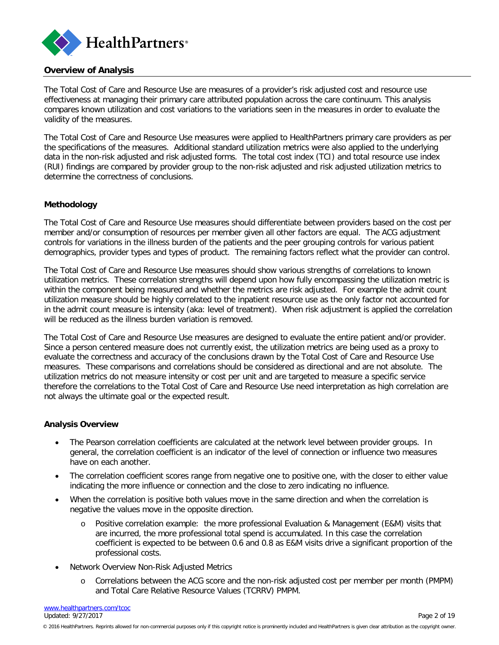

#### <span id="page-1-0"></span>**Overview of Analysis**

The Total Cost of Care and Resource Use are measures of a provider's risk adjusted cost and resource use effectiveness at managing their primary care attributed population across the care continuum. This analysis compares known utilization and cost variations to the variations seen in the measures in order to evaluate the validity of the measures.

The Total Cost of Care and Resource Use measures were applied to HealthPartners primary care providers as per the specifications of the measures. Additional standard utilization metrics were also applied to the underlying data in the non-risk adjusted and risk adjusted forms. The total cost index (TCI) and total resource use index (RUI) findings are compared by provider group to the non-risk adjusted and risk adjusted utilization metrics to determine the correctness of conclusions.

#### **Methodology**

The Total Cost of Care and Resource Use measures should differentiate between providers based on the cost per member and/or consumption of resources per member given all other factors are equal. The ACG adjustment controls for variations in the illness burden of the patients and the peer grouping controls for various patient demographics, provider types and types of product. The remaining factors reflect what the provider can control.

The Total Cost of Care and Resource Use measures should show various strengths of correlations to known utilization metrics. These correlation strengths will depend upon how fully encompassing the utilization metric is within the component being measured and whether the metrics are risk adjusted. For example the admit count utilization measure should be highly correlated to the inpatient resource use as the only factor not accounted for in the admit count measure is intensity (aka: level of treatment). When risk adjustment is applied the correlation will be reduced as the illness burden variation is removed.

The Total Cost of Care and Resource Use measures are designed to evaluate the entire patient and/or provider. Since a person centered measure does not currently exist, the utilization metrics are being used as a proxy to evaluate the correctness and accuracy of the conclusions drawn by the Total Cost of Care and Resource Use measures. These comparisons and correlations should be considered as directional and are not absolute. The utilization metrics do not measure intensity or cost per unit and are targeted to measure a specific service therefore the correlations to the Total Cost of Care and Resource Use need interpretation as high correlation are not always the ultimate goal or the expected result.

#### **Analysis Overview**

- The Pearson correlation coefficients are calculated at the network level between provider groups. In general, the correlation coefficient is an indicator of the level of connection or influence two measures have on each another.
- The correlation coefficient scores range from negative one to positive one, with the closer to either value indicating the more influence or connection and the close to zero indicating no influence.
- When the correlation is positive both values move in the same direction and when the correlation is negative the values move in the opposite direction.
	- o Positive correlation example: the more professional Evaluation & Management (E&M) visits that are incurred, the more professional total spend is accumulated. In this case the correlation coefficient is expected to be between 0.6 and 0.8 as E&M visits drive a significant proportion of the professional costs.
- Network Overview Non-Risk Adjusted Metrics
	- o Correlations between the ACG score and the non-risk adjusted cost per member per month (PMPM) and Total Care Relative Resource Values (TCRRV) PMPM.

[www.healthpartners.com/tcoc](http://www.healthpartners.com/tcoc) Updated: 9/27/2017 Page 2 of 19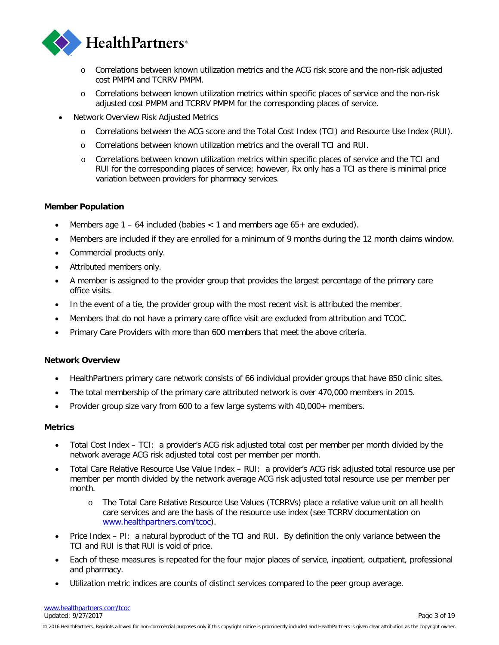

- o Correlations between known utilization metrics and the ACG risk score and the non-risk adjusted cost PMPM and TCRRV PMPM.
- o Correlations between known utilization metrics within specific places of service and the non-risk adjusted cost PMPM and TCRRV PMPM for the corresponding places of service.
- Network Overview Risk Adjusted Metrics
	- o Correlations between the ACG score and the Total Cost Index (TCI) and Resource Use Index (RUI).
	- o Correlations between known utilization metrics and the overall TCI and RUI.
	- o Correlations between known utilization metrics within specific places of service and the TCI and RUI for the corresponding places of service; however, Rx only has a TCI as there is minimal price variation between providers for pharmacy services.

#### **Member Population**

- Members age  $1 64$  included (babies  $< 1$  and members age  $65 +$  are excluded).
- Members are included if they are enrolled for a minimum of 9 months during the 12 month claims window.
- Commercial products only.
- Attributed members only.
- A member is assigned to the provider group that provides the largest percentage of the primary care office visits.
- In the event of a tie, the provider group with the most recent visit is attributed the member.
- Members that do not have a primary care office visit are excluded from attribution and TCOC.
- Primary Care Providers with more than 600 members that meet the above criteria.

#### **Network Overview**

- HealthPartners primary care network consists of 66 individual provider groups that have 850 clinic sites.
- The total membership of the primary care attributed network is over 470,000 members in 2015.
- Provider group size vary from 600 to a few large systems with 40,000+ members.

#### **Metrics**

- Total Cost Index TCI: a provider's ACG risk adjusted total cost per member per month divided by the network average ACG risk adjusted total cost per member per month.
- Total Care Relative Resource Use Value Index RUI: a provider's ACG risk adjusted total resource use per member per month divided by the network average ACG risk adjusted total resource use per member per month.
	- o The Total Care Relative Resource Use Values (TCRRVs) place a relative value unit on all health care services and are the basis of the resource use index (see TCRRV documentation on [www.healthpartners.com/tcoc\)](https://www.healthpartners.com/ucm/groups/public/@hp/@public/documents/documents/cntrb_039627.pdf).
- Price Index PI: a natural byproduct of the TCI and RUI. By definition the only variance between the TCI and RUI is that RUI is void of price.
- Each of these measures is repeated for the four major places of service, inpatient, outpatient, professional and pharmacy.
- Utilization metric indices are counts of distinct services compared to the peer group average.

[www.healthpartners.com/tcoc](http://www.healthpartners.com/tcoc) Updated: 9/27/2017 Page 3 of 19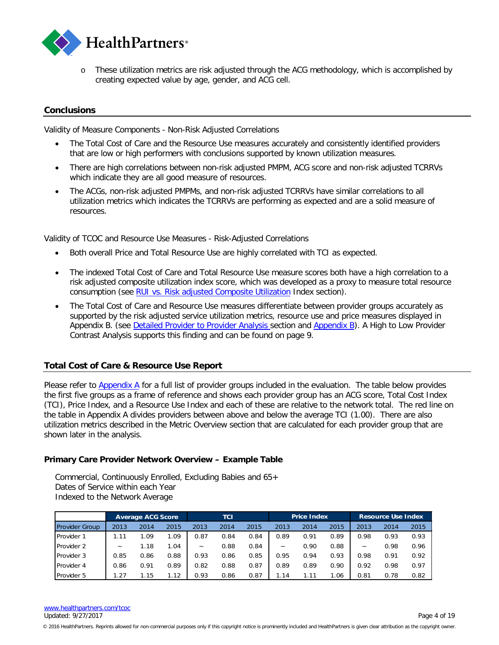

o These utilization metrics are risk adjusted through the ACG methodology, which is accomplished by creating expected value by age, gender, and ACG cell.

## <span id="page-3-0"></span>**Conclusions**

Validity of Measure Components - Non-Risk Adjusted Correlations

- The Total Cost of Care and the Resource Use measures accurately and consistently identified providers that are low or high performers with conclusions supported by known utilization measures.
- There are high correlations between non-risk adjusted PMPM, ACG score and non-risk adjusted TCRRVs which indicate they are all good measure of resources.
- The ACGs, non-risk adjusted PMPMs, and non-risk adjusted TCRRVs have similar correlations to all utilization metrics which indicates the TCRRVs are performing as expected and are a solid measure of resources.

Validity of TCOC and Resource Use Measures - Risk-Adjusted Correlations

- Both overall Price and Total Resource Use are highly correlated with TCI as expected.
- The indexed Total Cost of Care and Total Resource Use measure scores both have a high correlation to a risk adjusted composite utilization index score, which was developed as a proxy to measure total resource consumption (see [RUI vs. Risk adjusted Composite Utilization](#page-6-1) Index section).
- The Total Cost of Care and Resource Use measures differentiate between provider groups accurately as supported by the risk adjusted service utilization metrics, resource use and price measures displayed in Appendix B. (see [Detailed Provider to Provider Analysis](#page-7-0) section and [Appendix B\)](#page-15-0). A High to Low Provider Contrast Analysis supports this finding and can be found on page 9.

#### <span id="page-3-1"></span>**Total Cost of Care & Resource Use Report**

Please refer to **Appendix A** for a full list of provider groups included in the evaluation. The table below provides the first five groups as a frame of reference and shows each provider group has an ACG score, Total Cost Index (TCI), Price Index, and a Resource Use Index and each of these are relative to the network total. The red line on the table in Appendix A divides providers between above and below the average TCI (1.00). There are also utilization metrics described in the Metric Overview section that are calculated for each provider group that are shown later in the analysis.

#### **Primary Care Provider Network Overview – Example Table**

Commercial, Continuously Enrolled, Excluding Babies and 65+ Dates of Service within each Year Indexed to the Network Average

|                       | <b>Average ACG Score</b>  |      |      | TCI                   |      |      | <b>Price Index</b>    |      |      | <b>Resource Use Index</b> |      |      |
|-----------------------|---------------------------|------|------|-----------------------|------|------|-----------------------|------|------|---------------------------|------|------|
| <b>Provider Group</b> | 2013                      | 2014 | 2015 | 2013                  | 2014 | 2015 | 2013                  | 2014 | 2015 | 2013                      | 2014 | 2015 |
| Provider 1            | 1.11                      | 1.09 | L.O9 | 0.87                  | 0.84 | 0.84 | 0.89                  | 0.91 | 0.89 | 0.98                      | 0.93 | 0.93 |
| Provider 2            | $\widetilde{\phantom{m}}$ | 1.18 | L.04 | $\tilde{\phantom{a}}$ | 0.88 | 0.84 | $\tilde{\phantom{a}}$ | 0.90 | 0.88 | $\widetilde{\phantom{m}}$ | 0.98 | 0.96 |
| Provider 3            | 0.85                      | 0.86 | 0.88 | 0.93                  | 0.86 | 0.85 | 0.95                  | 0.94 | 0.93 | 0.98                      | 0.91 | 0.92 |
| Provider 4            | 0.86                      | 0.91 | 0.89 | 0.82                  | 0.88 | 0.87 | 0.89                  | 0.89 | 0.90 | 0.92                      | 0.98 | 0.97 |
| Provider 5            | 1.27                      | 1.15 | l.12 | 0.93                  | 0.86 | 0.87 | 1.14                  | 1.11 | 1.06 | 0.81                      | 0.78 | 0.82 |

<sup>© 2016</sup> HealthPartners. Reprints allowed for non-commercial purposes only if this copyright notice is prominently included and HealthPartners is given clear attribution as the copyright owner.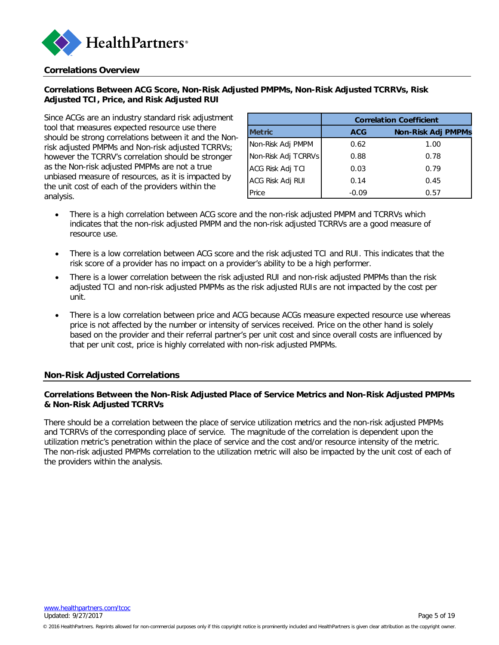

#### <span id="page-4-0"></span>**Correlations Overview**

## **Correlations Between ACG Score, Non-Risk Adjusted PMPMs, Non-Risk Adjusted TCRRVs, Risk Adjusted TCI, Price, and Risk Adjusted RUI**

Since ACGs are an industry standard risk adjustment tool that measures expected resource use there should be strong correlations between it and the Nonrisk adjusted PMPMs and Non-risk adjusted TCRRVs; however the TCRRV's correlation should be stronger as the Non-risk adjusted PMPMs are not a true unbiased measure of resources, as it is impacted by the unit cost of each of the providers within the analysis.

|                     | <b>Correlation Coefficient</b> |                           |  |  |  |  |  |  |
|---------------------|--------------------------------|---------------------------|--|--|--|--|--|--|
| <b>Metric</b>       | <b>ACG</b>                     | <b>Non-Risk Adj PMPMs</b> |  |  |  |  |  |  |
| Non-Risk Adj PMPM   | 0.62                           | 1.00                      |  |  |  |  |  |  |
| Non-Risk Adj TCRRVs | 0.88                           | 0.78                      |  |  |  |  |  |  |
| ACG Risk Adj TCI    | 0.03                           | 0.79                      |  |  |  |  |  |  |
| ACG Risk Adj RUI    | 0.14                           | 0.45                      |  |  |  |  |  |  |
| Price               | $-0.09$                        | 0.57                      |  |  |  |  |  |  |

- There is a high correlation between ACG score and the non-risk adjusted PMPM and TCRRVs which indicates that the non-risk adjusted PMPM and the non-risk adjusted TCRRVs are a good measure of resource use.
- There is a low correlation between ACG score and the risk adjusted TCI and RUI. This indicates that the risk score of a provider has no impact on a provider's ability to be a high performer.
- There is a lower correlation between the risk adjusted RUI and non-risk adjusted PMPMs than the risk adjusted TCI and non-risk adjusted PMPMs as the risk adjusted RUIs are not impacted by the cost per unit.
- There is a low correlation between price and ACG because ACGs measure expected resource use whereas price is not affected by the number or intensity of services received. Price on the other hand is solely based on the provider and their referral partner's per unit cost and since overall costs are influenced by that per unit cost, price is highly correlated with non-risk adjusted PMPMs.

#### <span id="page-4-1"></span>**Non-Risk Adjusted Correlations**

#### **Correlations Between the Non-Risk Adjusted Place of Service Metrics and Non-Risk Adjusted PMPMs & Non-Risk Adjusted TCRRVs**

There should be a correlation between the place of service utilization metrics and the non-risk adjusted PMPMs and TCRRVs of the corresponding place of service. The magnitude of the correlation is dependent upon the utilization metric's penetration within the place of service and the cost and/or resource intensity of the metric. The non-risk adjusted PMPMs correlation to the utilization metric will also be impacted by the unit cost of each of the providers within the analysis.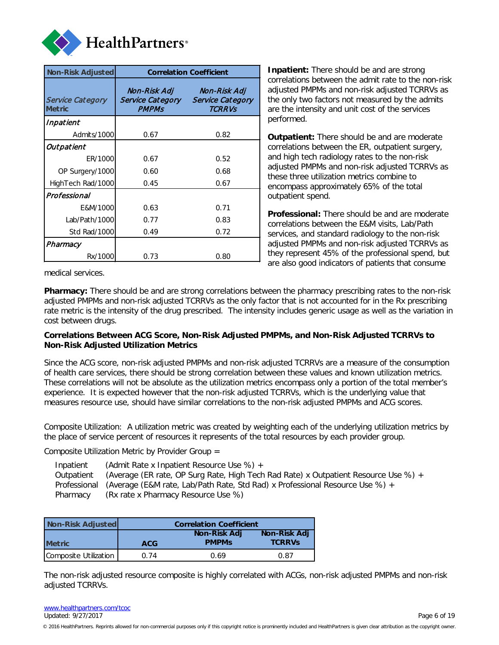

| Non-Risk Adjusted                        |                                                         | <b>Correlation Coefficient</b>                    |  |  |
|------------------------------------------|---------------------------------------------------------|---------------------------------------------------|--|--|
| <b>Service Category</b><br><b>Metric</b> | Non-Risk Adj<br><b>Service Category</b><br><b>PMPMs</b> | Non-Risk Adj<br>Service Category<br><b>TCRRVs</b> |  |  |
| Inpatient                                |                                                         |                                                   |  |  |
| Admits/1000                              | 0.67                                                    | 0.82                                              |  |  |
| Outpatient                               |                                                         |                                                   |  |  |
| ER/1000                                  | 0.67                                                    | 0.52                                              |  |  |
| OP Surgery/1000                          | 0.60                                                    | 0.68                                              |  |  |
| HighTech Rad/1000                        | 0.45                                                    | 0.67                                              |  |  |
| Professional                             |                                                         |                                                   |  |  |
| E&M/1000                                 | 0.63                                                    | 0.71                                              |  |  |
| Lab/Path/1000                            | 0.77                                                    | 0.83                                              |  |  |
| Std Rad/1000                             | 0.49                                                    | 0.72                                              |  |  |
| Pharmacy                                 |                                                         |                                                   |  |  |
| Rx/1000                                  | 0.73                                                    | 0.80                                              |  |  |

**Inpatient:** There should be and are strong correlations between the admit rate to the non-risk adjusted PMPMs and non-risk adjusted TCRRVs as the only two factors not measured by the admits are the intensity and unit cost of the services performed.

**Outpatient:** There should be and are moderate correlations between the ER, outpatient surgery, and high tech radiology rates to the non-risk adjusted PMPMs and non-risk adjusted TCRRVs as these three utilization metrics combine to encompass approximately 65% of the total outpatient spend.

**Professional:** There should be and are moderate correlations between the E&M visits, Lab/Path services, and standard radiology to the non-risk adjusted PMPMs and non-risk adjusted TCRRVs as they represent 45% of the professional spend, but are also good indicators of patients that consume

medical services.

**Pharmacy:** There should be and are strong correlations between the pharmacy prescribing rates to the non-risk adjusted PMPMs and non-risk adjusted TCRRVs as the only factor that is not accounted for in the Rx prescribing rate metric is the intensity of the drug prescribed. The intensity includes generic usage as well as the variation in cost between drugs.

#### **Correlations Between ACG Score, Non-Risk Adjusted PMPMs, and Non-Risk Adjusted TCRRVs to Non-Risk Adjusted Utilization Metrics**

Since the ACG score, non-risk adjusted PMPMs and non-risk adjusted TCRRVs are a measure of the consumption of health care services, there should be strong correlation between these values and known utilization metrics. These correlations will not be absolute as the utilization metrics encompass only a portion of the total member's experience. It is expected however that the non-risk adjusted TCRRVs, which is the underlying value that measures resource use, should have similar correlations to the non-risk adjusted PMPMs and ACG scores.

Composite Utilization: A utilization metric was created by weighting each of the underlying utilization metrics by the place of service percent of resources it represents of the total resources by each provider group.

Composite Utilization Metric by Provider Group =

| Inpatient  | (Admit Rate x Inpatient Resource Use %) +                                                     |
|------------|-----------------------------------------------------------------------------------------------|
| Outpatient | (Average (ER rate, OP Surg Rate, High Tech Rad Rate) x Outpatient Resource Use %) +           |
|            | Professional (Average (E&M rate, Lab/Path Rate, Std Rad) x Professional Resource Use $\%$ ) + |
| Pharmacy   | (Rx rate x Pharmacy Resource Use %)                                                           |

| Non-Risk Adjusted     |            | <b>Correlation Coefficient</b> |                               |
|-----------------------|------------|--------------------------------|-------------------------------|
| <b>Metric</b>         | <b>ACG</b> | Non-Risk Adj<br><b>PMPMs</b>   | Non-Risk Adj<br><b>TCRRVs</b> |
| Composite Utilization | 0.74       | 0.69                           | 0.87                          |

The non-risk adjusted resource composite is highly correlated with ACGs, non-risk adjusted PMPMs and non-risk adjusted TCRRVs.

[www.healthpartners.com/tcoc](http://www.healthpartners.com/tcoc) Updated: 9/27/2017 Page 6 of 19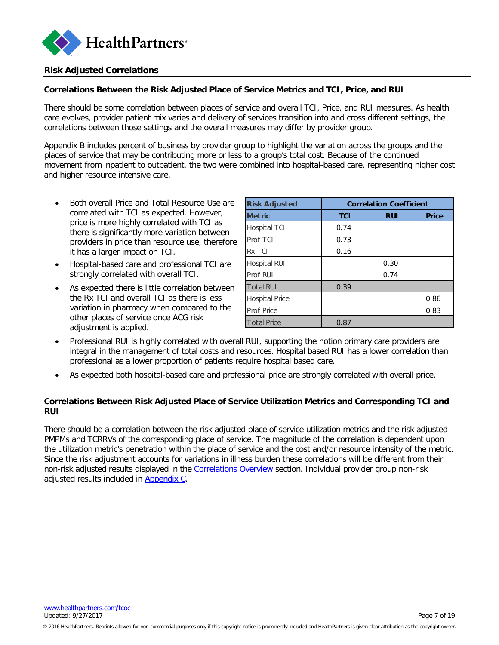

## <span id="page-6-0"></span>**Risk Adjusted Correlations**

## **Correlations Between the Risk Adjusted Place of Service Metrics and TCI, Price, and RUI**

There should be some correlation between places of service and overall TCI, Price, and RUI measures. As health care evolves, provider patient mix varies and delivery of services transition into and cross different settings, the correlations between those settings and the overall measures may differ by provider group.

Appendix B includes percent of business by provider group to highlight the variation across the groups and the places of service that may be contributing more or less to a group's total cost. Because of the continued movement from inpatient to outpatient, the two were combined into hospital-based care, representing higher cost and higher resource intensive care.

- Both overall Price and Total Resource Use are correlated with TCI as expected. However, price is more highly correlated with TCI as there is significantly more variation between providers in price than resource use, therefore it has a larger impact on TCI.
- Hospital-based care and professional TCI are strongly correlated with overall TCI.
- As expected there is little correlation between the Rx TCI and overall TCI as there is less variation in pharmacy when compared to the other places of service once ACG risk adjustment is applied.

| <b>Risk Adjusted</b> | <b>Correlation Coefficient</b> |            |              |  |  |  |  |  |
|----------------------|--------------------------------|------------|--------------|--|--|--|--|--|
| <b>Metric</b>        | <b>TCI</b>                     | <b>RUI</b> | <b>Price</b> |  |  |  |  |  |
| Hospital TCI         | 0.74                           |            |              |  |  |  |  |  |
| Prof TCI             | 0.73                           |            |              |  |  |  |  |  |
| Rx TCI               | 0.16                           |            |              |  |  |  |  |  |
| Hospital RUI         |                                | 0.30       |              |  |  |  |  |  |
| Prof RUI             |                                | 0.74       |              |  |  |  |  |  |
| <b>Total RUI</b>     | 0.39                           |            |              |  |  |  |  |  |
| Hospital Price       |                                |            | 0.86         |  |  |  |  |  |
| <b>Prof Price</b>    |                                |            | 0.83         |  |  |  |  |  |
| <b>Total Price</b>   | 0.87                           |            |              |  |  |  |  |  |

- Professional RUI is highly correlated with overall RUI, supporting the notion primary care providers are integral in the management of total costs and resources. Hospital based RUI has a lower correlation than professional as a lower proportion of patients require hospital based care.
- As expected both hospital-based care and professional price are strongly correlated with overall price.

## <span id="page-6-1"></span>**Correlations Between Risk Adjusted Place of Service Utilization Metrics and Corresponding TCI and RUI**

There should be a correlation between the risk adjusted place of service utilization metrics and the risk adjusted PMPMs and TCRRVs of the corresponding place of service. The magnitude of the correlation is dependent upon the utilization metric's penetration within the place of service and the cost and/or resource intensity of the metric. Since the risk adjustment accounts for variations in illness burden these correlations will be different from their non-risk adjusted results displayed in the [Correlations Overview](#page-4-0) section. Individual provider group non-risk adjusted results included in [Appendix C.](#page-17-0)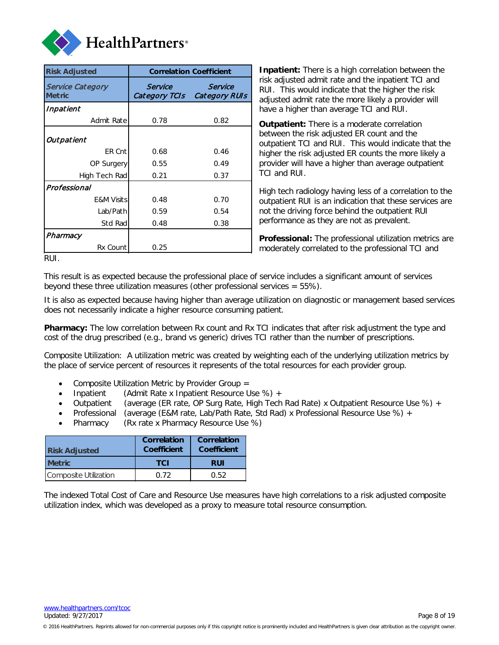

| <b>Risk Adjusted</b>                     |                          | <b>Correlation Coefficient</b>  |  |
|------------------------------------------|--------------------------|---------------------------------|--|
| <b>Service Category</b><br><b>Metric</b> | Service<br>Category TCIs | Service<br><b>Category RUIs</b> |  |
| Inpatient                                |                          |                                 |  |
| Admit Rate                               | 0.78                     | 0.82                            |  |
| Outpatient                               |                          |                                 |  |
| ER Cnt                                   | 0.68                     | 0.46                            |  |
| OP Surgery                               | 0.55                     | 0.49                            |  |
| High Tech Rad                            | 0.21                     | 0.37                            |  |
| Professional                             |                          |                                 |  |
| <b>E&amp;M Visits</b>                    | 0.48                     | 0.70                            |  |
| Lab/Path                                 | 0.59                     | 0.54                            |  |
| Std Rad                                  | 0.48                     | 0.38                            |  |
| Pharmacy                                 |                          |                                 |  |
| Rx Count                                 | 0.25                     |                                 |  |

**Inpatient:** There is a high correlation between the risk adjusted admit rate and the inpatient TCI and RUI. This would indicate that the higher the risk adjusted admit rate the more likely a provider will have a higher than average TCI and RUI.

**Outpatient:** There is a moderate correlation between the risk adjusted ER count and the outpatient TCI and RUI. This would indicate that the higher the risk adjusted ER counts the more likely a provider will have a higher than average outpatient TCI and RUI.

High tech radiology having less of a correlation to the outpatient RUI is an indication that these services are not the driving force behind the outpatient RUI performance as they are not as prevalent.

<span id="page-7-0"></span>**Professional:** The professional utilization metrics are moderately correlated to the professional TCI and

RUI.

This result is as expected because the professional place of service includes a significant amount of services beyond these three utilization measures (other professional services = 55%).

It is also as expected because having higher than average utilization on diagnostic or management based services does not necessarily indicate a higher resource consuming patient.

**Pharmacy:** The low correlation between Rx count and Rx TCI indicates that after risk adjustment the type and cost of the drug prescribed (e.g., brand vs generic) drives TCI rather than the number of prescriptions.

Composite Utilization: A utilization metric was created by weighting each of the underlying utilization metrics by the place of service percent of resources it represents of the total resources for each provider group.

- Composite Utilization Metric by Provider Group =
- Inpatient (Admit Rate x Inpatient Resource Use %) +
- Outpatient (average (ER rate, OP Surg Rate, High Tech Rad Rate) x Outpatient Resource Use %) +
- Professional (average (E&M rate, Lab/Path Rate, Std Rad) x Professional Resource Use %) +
- Pharmacy (Rx rate x Pharmacy Resource Use %)

| <b>Risk Adjusted</b>  | <b>Correlation</b><br>Coefficient | <b>Correlation</b><br>Coefficient |  |  |
|-----------------------|-----------------------------------|-----------------------------------|--|--|
| <b>Metric</b>         | <b>TCI</b>                        | <b>RUI</b>                        |  |  |
| Composite Utilization | በ 72                              | 0.52                              |  |  |

The indexed Total Cost of Care and Resource Use measures have high correlations to a risk adjusted composite utilization index, which was developed as a proxy to measure total resource consumption.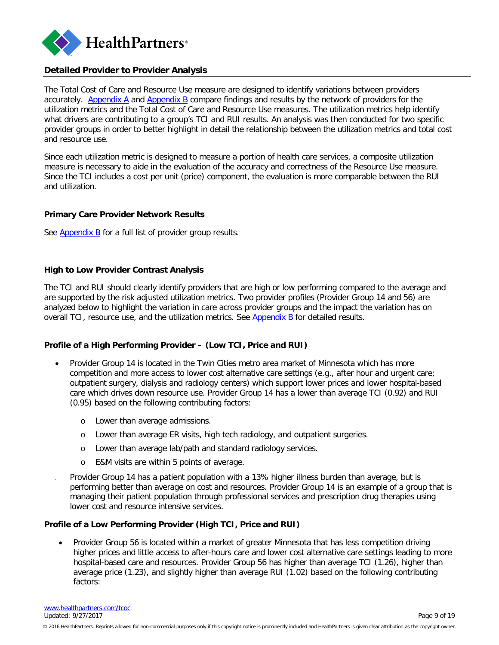

## <span id="page-8-0"></span>**Detailed Provider to Provider Analysis**

The Total Cost of Care and Resource Use measure are designed to identify variations between providers accurately. [Appendix A](#page-13-0) and [Appendix B](#page-15-0) compare findings and results by the network of providers for the utilization metrics and the Total Cost of Care and Resource Use measures. The utilization metrics help identify what drivers are contributing to a group's TCI and RUI results. An analysis was then conducted for two specific provider groups in order to better highlight in detail the relationship between the utilization metrics and total cost and resource use.

Since each utilization metric is designed to measure a portion of health care services, a composite utilization measure is necessary to aide in the evaluation of the accuracy and correctness of the Resource Use measure. Since the TCI includes a cost per unit (price) component, the evaluation is more comparable between the RUI and utilization.

#### **Primary Care Provider Network Results**

See [Appendix B](#page-15-0) for a full list of provider group results.

#### **High to Low Provider Contrast Analysis**

The TCI and RUI should clearly identify providers that are high or low performing compared to the average and are supported by the risk adjusted utilization metrics. Two provider profiles (Provider Group 14 and 56) are analyzed below to highlight the variation in care across provider groups and the impact the variation has on overall TCI, resource use, and the utilization metrics. See [Appendix B](#page-15-0) for detailed results.

## **Profile of a High Performing Provider – (Low TCI, Price and RUI)**

- Provider Group 14 is located in the Twin Cities metro area market of Minnesota which has more competition and more access to lower cost alternative care settings (e.g., after hour and urgent care; outpatient surgery, dialysis and radiology centers) which support lower prices and lower hospital-based care which drives down resource use. Provider Group 14 has a lower than average TCI (0.92) and RUI (0.95) based on the following contributing factors:
	- o Lower than average admissions.
	- o Lower than average ER visits, high tech radiology, and outpatient surgeries.
	- o Lower than average lab/path and standard radiology services.
	- o E&M visits are within 5 points of average.
- Provider Group 14 has a patient population with a 13% higher illness burden than average, but is performing better than average on cost and resources. Provider Group 14 is an example of a group that is managing their patient population through professional services and prescription drug therapies using lower cost and resource intensive services.

#### **Profile of a Low Performing Provider (High TCI, Price and RUI)**

• Provider Group 56 is located within a market of greater Minnesota that has less competition driving higher prices and little access to after-hours care and lower cost alternative care settings leading to more hospital-based care and resources. Provider Group 56 has higher than average TCI (1.26), higher than average price (1.23), and slightly higher than average RUI (1.02) based on the following contributing factors: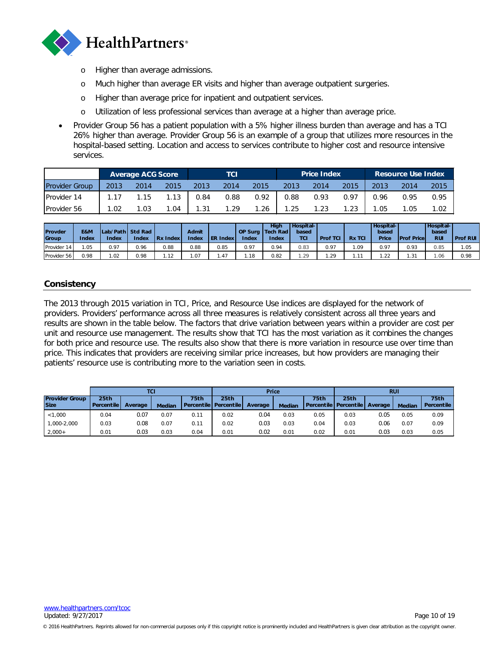

- o Higher than average admissions.
- o Much higher than average ER visits and higher than average outpatient surgeries.
- o Higher than average price for inpatient and outpatient services.
- o Utilization of less professional services than average at a higher than average price.
- Provider Group 56 has a patient population with a 5% higher illness burden than average and has a TCI 26% higher than average. Provider Group 56 is an example of a group that utilizes more resources in the hospital-based setting. Location and access to services contribute to higher cost and resource intensive services.

|                       |      | <b>Average ACG Score</b> |      | тсг  |      |      | <b>Price Index</b> |      |      | <b>Resource Use Index</b> |      |      |
|-----------------------|------|--------------------------|------|------|------|------|--------------------|------|------|---------------------------|------|------|
| <b>Provider Group</b> | 2013 | 2014                     | 2015 | 2013 | 2014 | 2015 | 2013               | 2014 | 2015 | 2013                      | 2014 | 2015 |
| <b>Provider 14</b>    | 1.17 | 1.15                     | 1.13 | 0.84 | 0.88 | 0.92 | 0.88               | 0.93 | 0.97 | 0.96                      | 0.95 | 0.95 |
| <b>Provider 56</b>    | .02  | 1.03                     | 1.04 | 1.31 | 1.29 | 1.26 | .25                | 1.23 | 1.23 | .05                       | 1.05 | 1.02 |

| Provder<br>Group | E&M<br><b>Index</b> | Lab/Path Std Rad<br><b>Index</b> | Index | <b>Rx Index</b> | <b>Admit</b><br><b>Index</b> | <b>ER Index</b> | Index | Hiah<br><b>OP Surg Tech Rad</b><br><b>Index</b> | <b>Hospital</b><br>based<br><b>TCI</b> | <b>Prof TCI</b> | <b>Rx TCI</b> | <b>Hospital</b><br>based<br>Price | <b>IProf Pricel</b> | <b>Hospital</b><br>based<br><b>RUI</b> | Prof RUI |
|------------------|---------------------|----------------------------------|-------|-----------------|------------------------------|-----------------|-------|-------------------------------------------------|----------------------------------------|-----------------|---------------|-----------------------------------|---------------------|----------------------------------------|----------|
| Provider 14      | .05                 | 0.97                             | 0.96  | 0.88            | 0.88                         | 0.85            | 0.97  | 0.94                                            | 0.83                                   | 0.97            | .09           | 0.97                              | 0.93                | 0.85                                   | 1.05     |
| Provider 56      | 0.98                | .02                              | 0.98  | .12             | .07                          | $.4-$           | .18   | 0.82                                            | ാറ<br>$-$                              | .29             | 11            | .22                               | . . 31              | .06                                    | 0.98     |

## <span id="page-9-0"></span>**Consistency**

The 2013 through 2015 variation in TCI, Price, and Resource Use indices are displayed for the network of providers. Providers' performance across all three measures is relatively consistent across all three years and results are shown in the table below. The factors that drive variation between years within a provider are cost per unit and resource use management. The results show that TCI has the most variation as it combines the changes for both price and resource use. The results also show that there is more variation in resource use over time than price. This indicates that providers are receiving similar price increases, but how providers are managing their patients' resource use is contributing more to the variation seen in costs.

|                       |                  | TCI     |               |                           | Price            |         |               |             | <b>RUI</b>                        |      |               |                   |
|-----------------------|------------------|---------|---------------|---------------------------|------------------|---------|---------------|-------------|-----------------------------------|------|---------------|-------------------|
| <b>Provider Group</b> | 25 <sub>th</sub> |         |               | 75th                      | 25 <sub>th</sub> |         |               | <b>75th</b> | 25th                              |      |               | 75th              |
| <b>Size</b>           | Percentile       | Average | <b>Median</b> | l Percentile I Percentile |                  | Average | <b>Median</b> |             | Percentile   Percentile   Average |      | <b>Median</b> | <b>Percentile</b> |
| < 1,000               | 0.04             | 0.07    | 0.07          | 0.11                      | 0.02             | 0.04    | 0.03          | 0.05        | 0.03                              | 0.05 | 0.05          | 0.09              |
| 1.000-2.000           | 0.03             | 0.08    | 0.07          | 0.11                      | 0.02             | 0.03    | 0.03          | 0.04        | 0.03                              | 0.06 | 0.07          | 0.09              |
| $2,000+$              | 0.01             | 0.03    | 0.03          | 0.04                      | 0.01             | 0.02    | 0.01          | 0.02        | 0.01                              | 0.03 | 0.03          | 0.05              |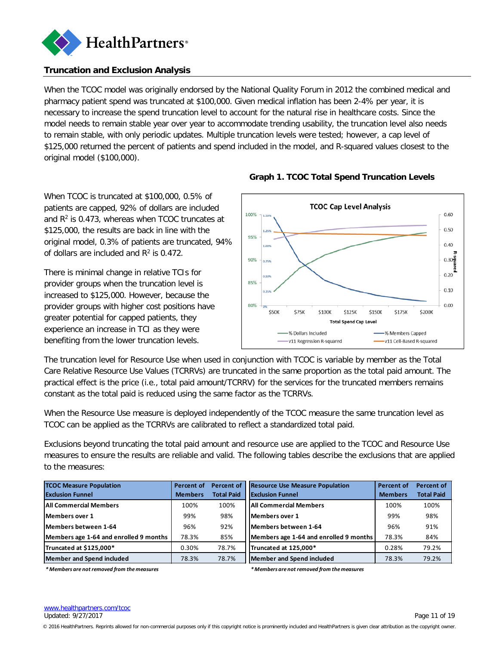

## <span id="page-10-0"></span>**Truncation and Exclusion Analysis**

When the TCOC model was originally endorsed by the National Quality Forum in 2012 the combined medical and pharmacy patient spend was truncated at \$100,000. Given medical inflation has been 2-4% per year, it is necessary to increase the spend truncation level to account for the natural rise in healthcare costs. Since the model needs to remain stable year over year to accommodate trending usability, the truncation level also needs to remain stable, with only periodic updates. Multiple truncation levels were tested; however, a cap level of \$125,000 returned the percent of patients and spend included in the model, and R-squared values closest to the original model (\$100,000).

When TCOC is truncated at \$100,000, 0.5% of patients are capped, 92% of dollars are included and  $R<sup>2</sup>$  is 0.473, whereas when TCOC truncates at \$125,000, the results are back in line with the original model, 0.3% of patients are truncated, 94% of dollars are included and  $R^2$  is 0.472.

There is minimal change in relative TCIs for provider groups when the truncation level is increased to \$125,000. However, because the provider groups with higher cost positions have greater potential for capped patients, they experience an increase in TCI as they were benefiting from the lower truncation levels.



## **Graph 1. TCOC Total Spend Truncation Levels**

The truncation level for Resource Use when used in conjunction with TCOC is variable by member as the Total Care Relative Resource Use Values (TCRRVs) are truncated in the same proportion as the total paid amount. The practical effect is the price (i.e., total paid amount/TCRRV) for the services for the truncated members remains constant as the total paid is reduced using the same factor as the TCRRVs.

When the Resource Use measure is deployed independently of the TCOC measure the same truncation level as TCOC can be applied as the TCRRVs are calibrated to reflect a standardized total paid.

Exclusions beyond truncating the total paid amount and resource use are applied to the TCOC and Resource Use measures to ensure the results are reliable and valid. The following tables describe the exclusions that are applied to the measures:

| <b>TCOC Measure Population</b>         | Percent of     | Percent of        | <b>Resource Use Measure Population</b> | <b>Percent of</b> | Percent of        |
|----------------------------------------|----------------|-------------------|----------------------------------------|-------------------|-------------------|
| <b>Exclusion Funnel</b>                | <b>Members</b> | <b>Total Paid</b> | <b>Exclusion Funnel</b>                | <b>Members</b>    | <b>Total Paid</b> |
| <b>All Commercial Members</b>          | 100%           | 100%              | <b>IAII Commercial Members</b>         | 100%              | 100%              |
| <b>IMembers over 1</b>                 | 99%            | 98%               | <b>IMembers over 1</b>                 | 99%               | 98%               |
| Members between 1-64                   | 96%            | 92%               | Members between 1-64                   | 96%               | 91%               |
| Members age 1-64 and enrolled 9 months | 78.3%          | 85%               | Members age 1-64 and enrolled 9 months | 78.3%             | 84%               |
| Truncated at \$125,000*                | 0.30%          | 78.7%             | Truncated at 125.000*                  | 0.28%             | 79.2%             |
| Member and Spend included              | 78.3%          | 78.7%             | Member and Spend included              | 78.3%             | 79.2%             |

*\* Members are not removed from the measures*

*\* Members are not removed from the measures*

© 2016 HealthPartners. Reprints allowed for non-commercial purposes only if this copyright notice is prominently included and HealthPartners is given clear attribution as the copyright owner.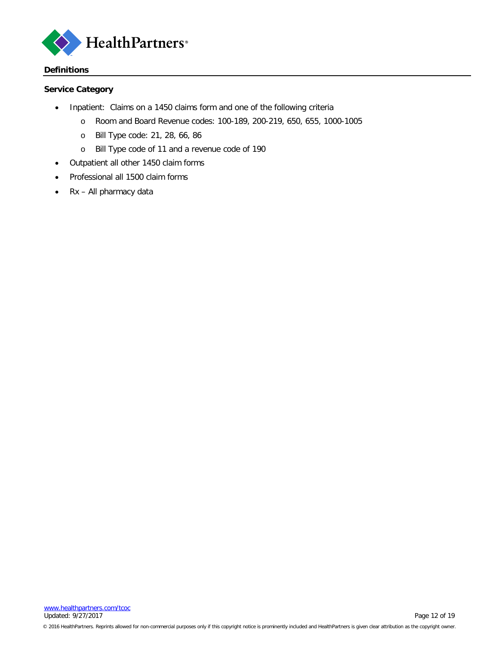

#### <span id="page-11-0"></span>**Definitions**

## **Service Category**

- Inpatient: Claims on a 1450 claims form and one of the following criteria
	- o Room and Board Revenue codes: 100-189, 200-219, 650, 655, 1000-1005
	- o Bill Type code: 21, 28, 66, 86
	- o Bill Type code of 11 and a revenue code of 190
- Outpatient all other 1450 claim forms
- Professional all 1500 claim forms
- Rx All pharmacy data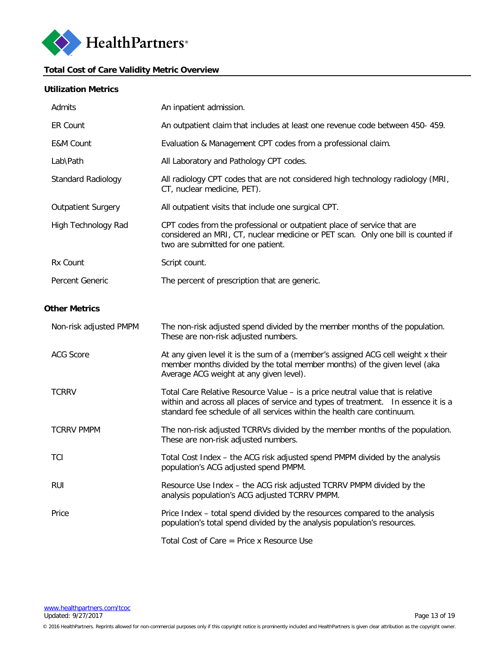

## <span id="page-12-0"></span>**Total Cost of Care Validity Metric Overview**

#### **Utilization Metrics**

| Admits                    | An inpatient admission.                                                                                                                                                                                                                         |
|---------------------------|-------------------------------------------------------------------------------------------------------------------------------------------------------------------------------------------------------------------------------------------------|
| <b>ER Count</b>           | An outpatient claim that includes at least one revenue code between 450-459.                                                                                                                                                                    |
| E&M Count                 | Evaluation & Management CPT codes from a professional claim.                                                                                                                                                                                    |
| Lab\Path                  | All Laboratory and Pathology CPT codes.                                                                                                                                                                                                         |
| <b>Standard Radiology</b> | All radiology CPT codes that are not considered high technology radiology (MRI,<br>CT, nuclear medicine, PET).                                                                                                                                  |
| <b>Outpatient Surgery</b> | All outpatient visits that include one surgical CPT.                                                                                                                                                                                            |
| High Technology Rad       | CPT codes from the professional or outpatient place of service that are<br>considered an MRI, CT, nuclear medicine or PET scan. Only one bill is counted if<br>two are submitted for one patient.                                               |
| Rx Count                  | Script count.                                                                                                                                                                                                                                   |
| Percent Generic           | The percent of prescription that are generic.                                                                                                                                                                                                   |
|                           |                                                                                                                                                                                                                                                 |
| <b>Other Metrics</b>      |                                                                                                                                                                                                                                                 |
| Non-risk adjusted PMPM    | The non-risk adjusted spend divided by the member months of the population.<br>These are non-risk adjusted numbers.                                                                                                                             |
| <b>ACG Score</b>          | At any given level it is the sum of a (member's assigned ACG cell weight x their<br>member months divided by the total member months) of the given level (aka<br>Average ACG weight at any given level).                                        |
| <b>TCRRV</b>              | Total Care Relative Resource Value – is a price neutral value that is relative<br>within and across all places of service and types of treatment. In essence it is a<br>standard fee schedule of all services within the health care continuum. |
| <b>TCRRV PMPM</b>         | The non-risk adjusted TCRRVs divided by the member months of the population.<br>These are non-risk adjusted numbers.                                                                                                                            |
| TCI                       | Total Cost Index - the ACG risk adjusted spend PMPM divided by the analysis<br>population's ACG adjusted spend PMPM.                                                                                                                            |
| <b>RUI</b>                | Resource Use Index - the ACG risk adjusted TCRRV PMPM divided by the<br>analysis population's ACG adjusted TCRRV PMPM.                                                                                                                          |
| Price                     | Price Index - total spend divided by the resources compared to the analysis<br>population's total spend divided by the analysis population's resources.                                                                                         |
|                           | Total Cost of Care $=$ Price x Resource Use                                                                                                                                                                                                     |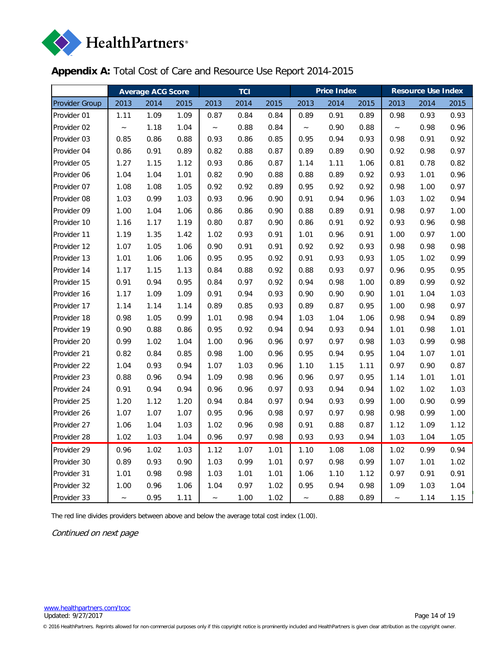

# <span id="page-13-0"></span>**Appendix A:** Total Cost of Care and Resource Use Report 2014-2015

|                | <b>Average ACG Score</b>  |      |      |                           | <b>TCI</b> |      |                           | <b>Price Index</b> |      | <b>Resource Use Index</b> |      |      |  |
|----------------|---------------------------|------|------|---------------------------|------------|------|---------------------------|--------------------|------|---------------------------|------|------|--|
| Provider Group | 2013                      | 2014 | 2015 | 2013                      | 2014       | 2015 | 2013                      | 2014               | 2015 | 2013                      | 2014 | 2015 |  |
| Provider 01    | 1.11                      | 1.09 | 1.09 | 0.87                      | 0.84       | 0.84 | 0.89                      | 0.91               | 0.89 | 0.98                      | 0.93 | 0.93 |  |
| Provider 02    | $\widetilde{\phantom{m}}$ | 1.18 | 1.04 | $\widetilde{\phantom{m}}$ | 0.88       | 0.84 | $\widetilde{\phantom{m}}$ | 0.90               | 0.88 | $\widetilde{\phantom{m}}$ | 0.98 | 0.96 |  |
| Provider 03    | 0.85                      | 0.86 | 0.88 | 0.93                      | 0.86       | 0.85 | 0.95                      | 0.94               | 0.93 | 0.98                      | 0.91 | 0.92 |  |
| Provider 04    | 0.86                      | 0.91 | 0.89 | 0.82                      | 0.88       | 0.87 | 0.89                      | 0.89               | 0.90 | 0.92                      | 0.98 | 0.97 |  |
| Provider 05    | 1.27                      | 1.15 | 1.12 | 0.93                      | 0.86       | 0.87 | 1.14                      | 1.11               | 1.06 | 0.81                      | 0.78 | 0.82 |  |
| Provider 06    | 1.04                      | 1.04 | 1.01 | 0.82                      | 0.90       | 0.88 | 0.88                      | 0.89               | 0.92 | 0.93                      | 1.01 | 0.96 |  |
| Provider 07    | 1.08                      | 1.08 | 1.05 | 0.92                      | 0.92       | 0.89 | 0.95                      | 0.92               | 0.92 | 0.98                      | 1.00 | 0.97 |  |
| Provider 08    | 1.03                      | 0.99 | 1.03 | 0.93                      | 0.96       | 0.90 | 0.91                      | 0.94               | 0.96 | 1.03                      | 1.02 | 0.94 |  |
| Provider 09    | 1.00                      | 1.04 | 1.06 | 0.86                      | 0.86       | 0.90 | 0.88                      | 0.89               | 0.91 | 0.98                      | 0.97 | 1.00 |  |
| Provider 10    | 1.16                      | 1.17 | 1.19 | 0.80                      | 0.87       | 0.90 | 0.86                      | 0.91               | 0.92 | 0.93                      | 0.96 | 0.98 |  |
| Provider 11    | 1.19                      | 1.35 | 1.42 | 1.02                      | 0.93       | 0.91 | 1.01                      | 0.96               | 0.91 | 1.00                      | 0.97 | 1.00 |  |
| Provider 12    | 1.07                      | 1.05 | 1.06 | 0.90                      | 0.91       | 0.91 | 0.92                      | 0.92               | 0.93 | 0.98                      | 0.98 | 0.98 |  |
| Provider 13    | 1.01                      | 1.06 | 1.06 | 0.95                      | 0.95       | 0.92 | 0.91                      | 0.93               | 0.93 | 1.05                      | 1.02 | 0.99 |  |
| Provider 14    | 1.17                      | 1.15 | 1.13 | 0.84                      | 0.88       | 0.92 | 0.88                      | 0.93               | 0.97 | 0.96                      | 0.95 | 0.95 |  |
| Provider 15    | 0.91                      | 0.94 | 0.95 | 0.84                      | 0.97       | 0.92 | 0.94                      | 0.98               | 1.00 | 0.89                      | 0.99 | 0.92 |  |
| Provider 16    | 1.17                      | 1.09 | 1.09 | 0.91                      | 0.94       | 0.93 | 0.90                      | 0.90               | 0.90 | 1.01                      | 1.04 | 1.03 |  |
| Provider 17    | 1.14                      | 1.14 | 1.14 | 0.89                      | 0.85       | 0.93 | 0.89                      | 0.87               | 0.95 | 1.00                      | 0.98 | 0.97 |  |
| Provider 18    | 0.98                      | 1.05 | 0.99 | 1.01                      | 0.98       | 0.94 | 1.03                      | 1.04               | 1.06 | 0.98                      | 0.94 | 0.89 |  |
| Provider 19    | 0.90                      | 0.88 | 0.86 | 0.95                      | 0.92       | 0.94 | 0.94                      | 0.93               | 0.94 | 1.01                      | 0.98 | 1.01 |  |
| Provider 20    | 0.99                      | 1.02 | 1.04 | 1.00                      | 0.96       | 0.96 | 0.97                      | 0.97               | 0.98 | 1.03                      | 0.99 | 0.98 |  |
| Provider 21    | 0.82                      | 0.84 | 0.85 | 0.98                      | 1.00       | 0.96 | 0.95                      | 0.94               | 0.95 | 1.04                      | 1.07 | 1.01 |  |
| Provider 22    | 1.04                      | 0.93 | 0.94 | 1.07                      | 1.03       | 0.96 | 1.10                      | 1.15               | 1.11 | 0.97                      | 0.90 | 0.87 |  |
| Provider 23    | 0.88                      | 0.96 | 0.94 | 1.09                      | 0.98       | 0.96 | 0.96                      | 0.97               | 0.95 | 1.14                      | 1.01 | 1.01 |  |
| Provider 24    | 0.91                      | 0.94 | 0.94 | 0.96                      | 0.96       | 0.97 | 0.93                      | 0.94               | 0.94 | 1.02                      | 1.02 | 1.03 |  |
| Provider 25    | 1.20                      | 1.12 | 1.20 | 0.94                      | 0.84       | 0.97 | 0.94                      | 0.93               | 0.99 | 1.00                      | 0.90 | 0.99 |  |
| Provider 26    | 1.07                      | 1.07 | 1.07 | 0.95                      | 0.96       | 0.98 | 0.97                      | 0.97               | 0.98 | 0.98                      | 0.99 | 1.00 |  |
| Provider 27    | 1.06                      | 1.04 | 1.03 | 1.02                      | 0.96       | 0.98 | 0.91                      | 0.88               | 0.87 | 1.12                      | 1.09 | 1.12 |  |
| Provider 28    | 1.02                      | 1.03 | 1.04 | 0.96                      | 0.97       | 0.98 | 0.93                      | 0.93               | 0.94 | 1.03                      | 1.04 | 1.05 |  |
| Provider 29    | 0.96                      | 1.02 | 1.03 | 1.12                      | 1.07       | 1.01 | 1.10                      | 1.08               | 1.08 | 1.02                      | 0.99 | 0.94 |  |
| Provider 30    | 0.89                      | 0.93 | 0.90 | 1.03                      | 0.99       | 1.01 | 0.97                      | 0.98               | 0.99 | 1.07                      | 1.01 | 1.02 |  |
| Provider 31    | 1.01                      | 0.98 | 0.98 | 1.03                      | 1.01       | 1.01 | 1.06                      | 1.10               | 1.12 | 0.97                      | 0.91 | 0.91 |  |
| Provider 32    | 1.00                      | 0.96 | 1.06 | 1.04                      | 0.97       | 1.02 | 0.95                      | 0.94               | 0.98 | 1.09                      | 1.03 | 1.04 |  |
| Provider 33    |                           | 0.95 | 1.11 | $\overline{\phantom{0}}$  | 1.00       | 1.02 | $\widetilde{\phantom{m}}$ | 0.88               | 0.89 | $\ddot{\phantom{1}}$      | 1.14 | 1.15 |  |

The red line divides providers between above and below the average total cost index (1.00).

Continued on next page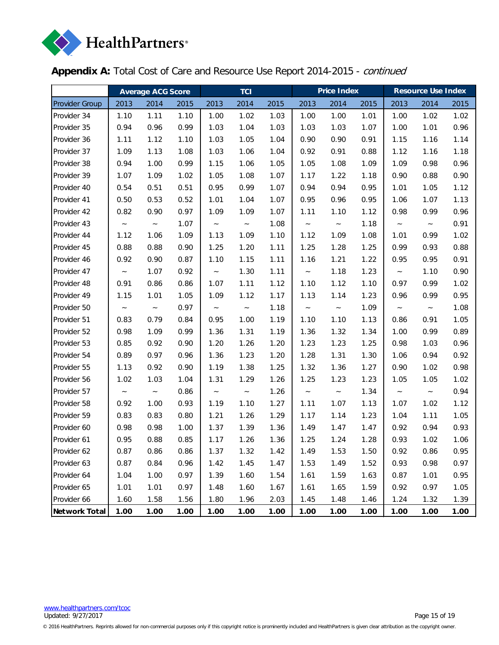

**Appendix A:** Total Cost of Care and Resource Use Report 2014-2015 - continued

|                       | <b>Average ACG Score</b>  |        |      |                           | <b>TCI</b> |      |                           | <b>Price Index</b> |      | <b>Resource Use Index</b> |                           |      |  |
|-----------------------|---------------------------|--------|------|---------------------------|------------|------|---------------------------|--------------------|------|---------------------------|---------------------------|------|--|
| <b>Provider Group</b> | 2013                      | 2014   | 2015 | 2013                      | 2014       | 2015 | 2013                      | 2014               | 2015 | 2013                      | 2014                      | 2015 |  |
| Provider 34           | 1.10                      | 1.11   | 1.10 | 1.00                      | 1.02       | 1.03 | 1.00                      | 1.00               | 1.01 | 1.00                      | 1.02                      | 1.02 |  |
| Provider 35           | 0.94                      | 0.96   | 0.99 | 1.03                      | 1.04       | 1.03 | 1.03                      | 1.03               | 1.07 | 1.00                      | 1.01                      | 0.96 |  |
| Provider 36           | 1.11                      | 1.12   | 1.10 | 1.03                      | 1.05       | 1.04 | 0.90                      | 0.90               | 0.91 | 1.15                      | 1.16                      | 1.14 |  |
| Provider 37           | 1.09                      | 1.13   | 1.08 | 1.03                      | 1.06       | 1.04 | 0.92                      | 0.91               | 0.88 | 1.12                      | 1.16                      | 1.18 |  |
| Provider 38           | 0.94                      | 1.00   | 0.99 | 1.15                      | 1.06       | 1.05 | 1.05                      | 1.08               | 1.09 | 1.09                      | 0.98                      | 0.96 |  |
| Provider 39           | 1.07                      | 1.09   | 1.02 | 1.05                      | 1.08       | 1.07 | 1.17                      | 1.22               | 1.18 | 0.90                      | 0.88                      | 0.90 |  |
| Provider 40           | 0.54                      | 0.51   | 0.51 | 0.95                      | 0.99       | 1.07 | 0.94                      | 0.94               | 0.95 | 1.01                      | 1.05                      | 1.12 |  |
| Provider 41           | 0.50                      | 0.53   | 0.52 | 1.01                      | 1.04       | 1.07 | 0.95                      | 0.96               | 0.95 | 1.06                      | 1.07                      | 1.13 |  |
| Provider 42           | 0.82                      | 0.90   | 0.97 | 1.09                      | 1.09       | 1.07 | 1.11                      | 1.10               | 1.12 | 0.98                      | 0.99                      | 0.96 |  |
| Provider 43           | $\sim$                    | $\sim$ | 1.07 | $\sim$                    | $\sim$     | 1.08 | $\widetilde{\phantom{m}}$ | $\thicksim$        | 1.18 | $\sim$                    | $\sim$                    | 0.91 |  |
| Provider 44           | 1.12                      | 1.06   | 1.09 | 1.13                      | 1.09       | 1.10 | 1.12                      | 1.09               | 1.08 | 1.01                      | 0.99                      | 1.02 |  |
| Provider 45           | 0.88                      | 0.88   | 0.90 | 1.25                      | 1.20       | 1.11 | 1.25                      | 1.28               | 1.25 | 0.99                      | 0.93                      | 0.88 |  |
| Provider 46           | 0.92                      | 0.90   | 0.87 | 1.10                      | 1.15       | 1.11 | 1.16                      | 1.21               | 1.22 | 0.95                      | 0.95                      | 0.91 |  |
| Provider 47           | $\sim$                    | 1.07   | 0.92 | $\sim$                    | 1.30       | 1.11 | $\sim$                    | 1.18               | 1.23 | $\sim$                    | 1.10                      | 0.90 |  |
| Provider 48           | 0.91                      | 0.86   | 0.86 | 1.07                      | 1.11       | 1.12 | 1.10                      | 1.12               | 1.10 | 0.97                      | 0.99                      | 1.02 |  |
| Provider 49           | 1.15                      | 1.01   | 1.05 | 1.09                      | 1.12       | 1.17 | 1.13                      | 1.14               | 1.23 | 0.96                      | 0.99                      | 0.95 |  |
| Provider 50           | $\widetilde{\phantom{m}}$ | $\sim$ | 0.97 | $\thicksim$               | $\sim$     | 1.18 | $\thicksim$               | $\sim$             | 1.09 | $\sim$                    | $\widetilde{\phantom{m}}$ | 1.08 |  |
| Provider 51           | 0.83                      | 0.79   | 0.84 | 0.95                      | 1.00       | 1.19 | 1.10                      | 1.10               | 1.13 | 0.86                      | 0.91                      | 1.05 |  |
| Provider 52           | 0.98                      | 1.09   | 0.99 | 1.36                      | 1.31       | 1.19 | 1.36                      | 1.32               | 1.34 | 1.00                      | 0.99                      | 0.89 |  |
| Provider 53           | 0.85                      | 0.92   | 0.90 | 1.20                      | 1.26       | 1.20 | 1.23                      | 1.23               | 1.25 | 0.98                      | 1.03                      | 0.96 |  |
| Provider 54           | 0.89                      | 0.97   | 0.96 | 1.36                      | 1.23       | 1.20 | 1.28                      | 1.31               | 1.30 | 1.06                      | 0.94                      | 0.92 |  |
| Provider 55           | 1.13                      | 0.92   | 0.90 | 1.19                      | 1.38       | 1.25 | 1.32                      | 1.36               | 1.27 | 0.90                      | 1.02                      | 0.98 |  |
| Provider 56           | 1.02                      | 1.03   | 1.04 | 1.31                      | 1.29       | 1.26 | 1.25                      | 1.23               | 1.23 | 1.05                      | 1.05                      | 1.02 |  |
| Provider 57           | $\widetilde{\phantom{m}}$ | $\sim$ | 0.86 | $\widetilde{\phantom{m}}$ | $\sim$     | 1.26 | $\widetilde{\phantom{m}}$ | $\sim$             | 1.34 | $\widetilde{\phantom{m}}$ | $\widetilde{\phantom{m}}$ | 0.94 |  |
| Provider 58           | 0.92                      | 1.00   | 0.93 | 1.19                      | 1.10       | 1.27 | 1.11                      | 1.07               | 1.13 | 1.07                      | 1.02                      | 1.12 |  |
| Provider 59           | 0.83                      | 0.83   | 0.80 | 1.21                      | 1.26       | 1.29 | 1.17                      | 1.14               | 1.23 | 1.04                      | 1.11                      | 1.05 |  |
| Provider 60           | 0.98                      | 0.98   | 1.00 | 1.37                      | 1.39       | 1.36 | 1.49                      | 1.47               | 1.47 | 0.92                      | 0.94                      | 0.93 |  |
| Provider 61           | 0.95                      | 0.88   | 0.85 | 1.17                      | 1.26       | 1.36 | 1.25                      | 1.24               | 1.28 | 0.93                      | 1.02                      | 1.06 |  |
| Provider 62           | 0.87                      | 0.86   | 0.86 | 1.37                      | 1.32       | 1.42 | 1.49                      | 1.53               | 1.50 | 0.92                      | 0.86                      | 0.95 |  |
| Provider 63           | 0.87                      | 0.84   | 0.96 | 1.42                      | 1.45       | 1.47 | 1.53                      | 1.49               | 1.52 | 0.93                      | 0.98                      | 0.97 |  |
| Provider 64           | 1.04                      | 1.00   | 0.97 | 1.39                      | 1.60       | 1.54 | 1.61                      | 1.59               | 1.63 | 0.87                      | 1.01                      | 0.95 |  |
| Provider 65           | 1.01                      | 1.01   | 0.97 | 1.48                      | 1.60       | 1.67 | 1.61                      | 1.65               | 1.59 | 0.92                      | 0.97                      | 1.05 |  |
| Provider 66           | 1.60                      | 1.58   | 1.56 | 1.80                      | 1.96       | 2.03 | 1.45                      | 1.48               | 1.46 | 1.24                      | 1.32                      | 1.39 |  |
| Network Total         | 1.00                      | 1.00   | 1.00 | 1.00                      | 1.00       | 1.00 | 1.00                      | 1.00               | 1.00 | 1.00                      | 1.00                      | 1.00 |  |

© 2016 HealthPartners. Reprints allowed for non-commercial purposes only if this copyright notice is prominently included and HealthPartners is given clear attribution as the copyright owner.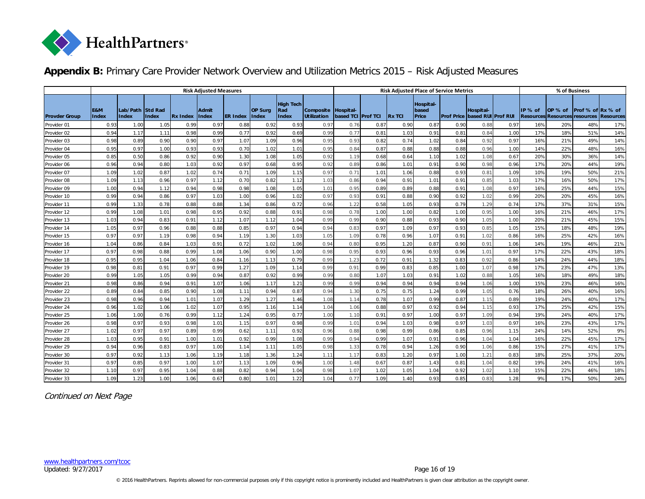

# **Appendix B:** Primary Care Provider Network Overview and Utilization Metrics 2015 – Risk Adjusted Measures

<span id="page-15-0"></span>

|                      | <b>Risk Adjusted Measures</b> |                                  |       |                 |                |                 |                                |                                  | <b>Risk Adjusted Place of Service Metrics</b> |                         |                 |               |                             |      |                                                    | % of Business |         |                                          |                   |                  |
|----------------------|-------------------------------|----------------------------------|-------|-----------------|----------------|-----------------|--------------------------------|----------------------------------|-----------------------------------------------|-------------------------|-----------------|---------------|-----------------------------|------|----------------------------------------------------|---------------|---------|------------------------------------------|-------------------|------------------|
| <b>Provder Group</b> | E&M<br><b>Index</b>           | Lab/Path Std Rad<br><b>Index</b> | Index | <b>Rx Index</b> | Admit<br>Index | <b>ER Index</b> | <b>OP Sura</b><br><b>Index</b> | <b>High Tech</b><br>Rad<br>Index | Composite<br><b>Utilization</b>               | Hospit al-<br>based TCI | <b>Prof TCI</b> | <b>Rx TCI</b> | Hospital-<br>based<br>Price |      | Hospit al-<br><b>Prof Price based RUI Prof RUI</b> |               | IP % of | OP % of<br>Resources Resources resources | Prof % of Rx % of | <b>Resources</b> |
| Provider 01          | 0.93                          | 1.00                             | 1.05  | 0.99            | 0.97           | 0.88            | 0.92                           | 0.93                             | 0.97                                          | 0.76                    | 0.87            | 0.90          | 0.87                        | 0.90 | 0.88                                               | 0.97          | 16%     | 20%                                      | 48%               | 17%              |
| Provider 02          | 0.94                          | 1.17                             | 1.11  | 0.98            | 0.99           | 0.77            | 0.92                           | 0.69                             | 0.99                                          | 0.77                    | 0.81            | 1.03          | 0.91                        | 0.81 | 0.84                                               | 1.00          | 17%     | 18%                                      | 51%               | 14%              |
| Provider 03          | 0.98                          | 0.89                             | 0.90  | 0.90            | 0.97           | 1.07            | 1.09                           | 0.96                             | 0.95                                          | 0.93                    | 0.82            | 0.74          | 1.02                        | 0.84 | 0.92                                               | 0.97          | 16%     | 21%                                      | 49%               | 14%              |
| Provider 04          | 0.95                          | 0.97                             | 1.00  | 0.93            | 0.93           | 0.70            | 1.02                           | 1.01                             | 0.95                                          | 0.84                    | 0.87            | 0.88          | 0.88                        | 0.88 | 0.96                                               | 1.00          | 14%     | 22%                                      | 48%               | 16%              |
| Provider 05          | 0.85                          | 0.50                             | 0.86  | 0.92            | 0.90           | 1.30            | 1.08                           | 1.05                             | 0.92                                          | 1.19                    | 0.68            | 0.64          | 1.10                        | 1.02 | 1.08                                               | 0.67          | 20%     | 30%                                      | 36%               | 14%              |
| Provider 06          | 0.96                          | 0.94                             | 0.80  | 1.03            | 0.92           | 0.97            | 0.68                           | 0.95                             | 0.92                                          | 0.89                    | 0.86            | 1.01          | 0.91                        | 0.90 | 0.98                                               | 0.96          | 17%     | 20%                                      | 44%               | 19%              |
| Provider 07          | 1.09                          | 1.02                             | 0.87  | 1.02            | 0.74           | 0.71            | 1.09                           | 1.15                             | 0.97                                          | 0.71                    | 1.01            | 1.06          | 0.88                        | 0.93 | 0.81                                               | 1.09          | 10%     | 19%                                      | 50%               | 21%              |
| Provider 08          | 1.09                          | 1.13                             | 0.96  | 0.97            | 1.12           | 0.70            | 0.82                           | 1.12                             | 1.03                                          | 0.86                    | 0.94            | 0.91          | 1.01                        | 0.91 | 0.85                                               | 1.03          | 17%     | 16%                                      | 50%               | 17%              |
| Provider 09          | 1.00                          | 0.94                             | 1.12  | 0.94            | 0.98           | 0.98            | 1.08                           | 1.05                             | 1.01                                          | 0.95                    | 0.89            | 0.89          | 0.88                        | 0.91 | 1.08                                               | 0.97          | 16%     | 25%                                      | 44%               | 15%              |
| Provider 10          | 0.99                          | 0.94                             | 0.86  | 0.97            | 1.03           | 1.00            | 0.96                           | 1.02                             | 0.97                                          | 0.93                    | 0.91            | 0.88          | 0.90                        | 0.92 | 1.02                                               | 0.99          | 20%     | 20%                                      | 45%               | 16%              |
| Provider 11          | 0.99                          | 1.33                             | 0.78  | 0.88            | 0.88           | 1.34            | 0.86                           | 0.72                             | 0.96                                          | 1.22                    | 0.58            | 1.05          | 0.93                        | 0.79 | 1.29                                               | 0.74          | 17%     | 37%                                      | 31%               | 15%              |
| Provider 12          | 0.99                          | 1.08                             | 1.01  | 0.98            | 0.95           | 0.92            | 0.88                           | 0.91                             | 0.98                                          | 0.78                    | 1.00            | 1.00          | 0.82                        | 1.00 | 0.95                                               | 1.00          | 16%     | 21%                                      | 46%               | 17%              |
| Provider 13          | 1.03                          | 0.94                             | 0.83  | 0.91            | 1.12           | 1.07            | 1.12                           | 1.04                             | 0.99                                          | 0.99                    | 0.90            | 0.88          | 0.93                        | 0.90 | 1.05                                               | 1.00          | 20%     | 21%                                      | 45%               | 15%              |
| Provider 14          | 1.05                          | 0.97                             | 0.96  | 0.88            | 0.88           | 0.85            | 0.97                           | 0.94                             | 0.94                                          | 0.83                    | 0.97            | 1.09          | 0.97                        | 0.93 | 0.85                                               | 1.05          | 15%     | 18%                                      | 48%               | 19%              |
| Provider 15          | 0.97                          | 0.97                             | 1.19  | 0.98            | 0.94           | 1.19            | 1.30                           | 1.03                             | 1.05                                          | 1.09                    | 0.78            | 0.96          | 1.07                        | 0.91 | 1.02                                               | 0.86          | 16%     | 25%                                      | 42%               | 16%              |
| Provider 16          | 1.04                          | 0.86                             | 0.84  | 1.03            | 0.91           | 0.72            | 1.02                           | 1.06                             | 0.94                                          | 0.80                    | 0.95            | 1.20          | 0.87                        | 0.90 | 0.91                                               | 1.06          | 14%     | 19%                                      | 46%               | 21%              |
| Provider 17          | 0.97                          | 0.98                             | 0.88  | 0.99            | 1.08           | 1.06            | 0.90                           | 1.00                             | 0.98                                          | 0.95                    | 0.93            | 0.96          | 0.93                        | 0.96 | 1.01                                               | 0.97          | 17%     | 22%                                      | 43%               | 18%              |
| Provider 18          | 0.95                          | 0.95                             | 1.04  | 1.06            | 0.84           | 1.16            | 1.13                           | 0.79                             | 0.99                                          | 1.23                    | 0.72            | 0.91          | 1.32                        | 0.83 | 0.92                                               | 0.86          | 14%     | 24%                                      | 44%               | 18%              |
| Provider 19          | 0.98                          | 0.81                             | 0.91  | 0.97            | 0.99           | 1.27            | 1.09                           | 1.14                             | 0.99                                          | 0.91                    | 0.99            | 0.83          | 0.85                        | 1.00 | 1.07                                               | 0.98          | 17%     | 23%                                      | 47%               | 13%              |
| Provider 20          | 0.99                          | 1.05                             | 1.05  | 0.99            | 0.94           | 0.87            | 0.92                           | 0.99                             | 0.99                                          | 0.80                    | 1.07            | 1.03          | 0.91                        | 1.02 | 0.88                                               | 1.05          | 16%     | 18%                                      | 49%               | 18%              |
| Provider 21          | 0.98                          | 0.86                             | 0.94  | 0.91            | 1.07           | 1.06            | 1.17                           | 1.21                             | 0.99                                          | 0.99                    | 0.94            | 0.94          | 0.94                        | 0.94 | 1.06                                               | 1.00          | 15%     | 23%                                      | 46%               | 16%              |
| Provider 22          | 0.89                          | 0.84                             | 0.85  | 0.90            | 1.08           | 1.11            | 0.94                           | 0.87                             | 0.94                                          | 1.30                    | 0.75            | 0.75          | 1.24                        | 0.99 | 1.05                                               | 0.76          | 18%     | 26%                                      | 40%               | 16%              |
| Provider 23          | 0.98                          | 0.96                             | 0.94  | 1.01            | 1.07           | 1.29            | 1.27                           | 1.46                             | 1.08                                          | 1.14                    | 0.78            | 1.07          | 0.99                        | 0.87 | 1.15                                               | 0.89          | 19%     | 24%                                      | 40%               | 17%              |
| Provider 24          | 0.96                          | 1.02                             | 1.06  | 1.02            | 1.07           | 0.95            | 1.16                           | 1.14                             | 1.04                                          | 1.06                    | 0.88            | 0.97          | 0.92                        | 0.94 | 1.15                                               | 0.93          | 17%     | 25%                                      | 42%               | 15%              |
| Provider 25          | 1.06                          | 1.00                             | 0.76  | 0.99            | 1.12           | 1.24            | 0.95                           | 0.77                             | 1.00                                          | 1.10                    | 0.91            | 0.97          | 1.00                        | 0.97 | 1.09                                               | 0.94          | 19%     | 24%                                      | 40%               | 17%              |
| Provider 26          | 0.98                          | 0.97                             | 0.93  | 0.98            | 1.01           | 1.15            | 0.97                           | 0.98                             | 0.99                                          | 1.01                    | 0.94            | 1.03          | 0.98                        | 0.97 | 1.03                                               | 0.97          | 16%     | 23%                                      | 43%               | 17%              |
| Provider 27          | 1.02                          | 0.97                             | 0.97  | 0.89            | 0.99           | 0.62            | 1.11                           | 0.92                             | 0.96                                          | 0.88                    | 0.98            | 0.99          | 0.86                        | 0.85 | 0.96                                               | 1.15          | 24%     | 14%                                      | 52%               | 9%               |
| Provider 28          | 1.03                          | 0.95                             | 0.91  | 1.00            | 1.01           | 0.92            | 0.99                           | 1.08                             | 0.99                                          | 0.94                    | 0.99            | 1.07          | 0.91                        | 0.96 | 1.04                                               | 1.04          | 16%     | 22%                                      | 45%               | 17%              |
| Provider 29          | 0.94                          | 0.96                             | 0.83  | 0.97            | 1.00           | 1.14            | 1.11                           | 1.05                             | 0.98                                          | 1.33                    | 0.78            | 0.94          | 1.26                        | 0.90 | 1.06                                               | 0.86          | 15%     | 27%                                      | 41%               | 17%              |
| Provider 30          | 0.97                          | 0.92                             | 1.13  | 1.06            | 1.19           | 1.18            | 1.36                           | 1.24                             | 1.11                                          | 1.17                    | 0.83            | 1.20          | 0.97                        | 1.00 | 1.21                                               | 0.83          | 18%     | 25%                                      | 37%               | 20%              |
| Provider 31          | 0.97                          | 0.85                             | 0.97  | 1.00            | 1.07           | 1.13            | 1.09                           | 0.96                             | 1.00                                          | 1.48                    | 0.67            | 0.87          | 1.43                        | 0.81 | 1.04                                               | 0.82          | 19%     | 24%                                      | 41%               | 16%              |
| Provider 32          | 1.10                          | 0.97                             | 0.95  | 1.04            | 0.88           | 0.82            | 0.94                           | 1.04                             | 0.98                                          | 1.07                    | 1.02            | 1.05          | 1.04                        | 0.92 | 1.02                                               | 1.10          | 15%     | 22%                                      | 46%               | 18%              |
| Provider 33          | 1.09                          | 1.23                             | 1.00  | 1.06            | 0.67           | 0.80            | 1.01                           | 1.22                             | 1.04                                          | 0.77                    | 1.09            | 1.40          | 0.93                        | 0.85 | 0.83                                               | 1.28          | 9%      | 17%                                      | 50%               | 24%              |

Continued on Next Page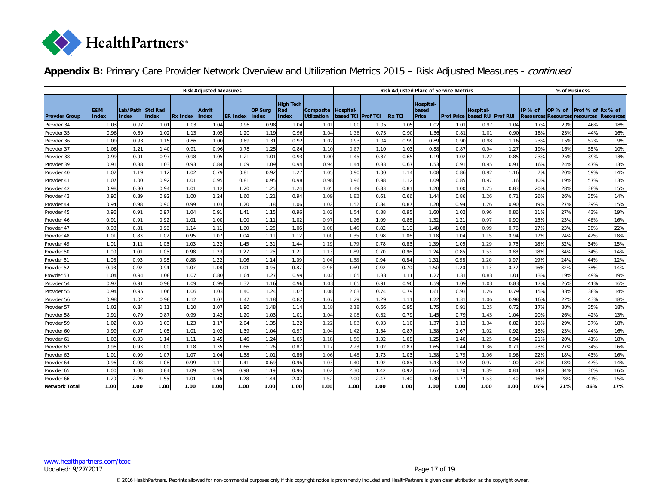

|                      | <b>Risk Adjusted Measures</b> |                                  |              |                 |                       |                 |                                |                                  | <b>Risk Adjusted Place of Service Metrics</b> |                         |                  |                |                             |      |                                                    | % of Business |         |                                                 |                   |                  |
|----------------------|-------------------------------|----------------------------------|--------------|-----------------|-----------------------|-----------------|--------------------------------|----------------------------------|-----------------------------------------------|-------------------------|------------------|----------------|-----------------------------|------|----------------------------------------------------|---------------|---------|-------------------------------------------------|-------------------|------------------|
| <b>Provder Group</b> | E&M<br><b>Index</b>           | Lab/Path Std Rad<br><b>Index</b> | <b>Index</b> | <b>Rx Index</b> | Admit<br><b>Index</b> | <b>ER Index</b> | <b>OP Surg</b><br><b>Index</b> | <b>High Tech</b><br>Rad<br>Index | Composite<br><b>Utilization</b>               | Hospit al-<br>based TCI | <b>IProf TCI</b> | <b>IRX TCI</b> | Hospital-<br>based<br>Price |      | Hospit al-<br><b>Prof Price based RUI Prof RUI</b> |               | IP % of | OP % of<br><b>Resources Resources resources</b> | Prof % of Rx % of | <b>Resources</b> |
| Provider 34          | 1.03                          | 0.97                             | 1.01         | 1.03            | 1.04                  | 0.96            | 0.98                           | 1.04                             | 1.01                                          | 1.00                    | 1.05             | 1.05           | 1.02                        | 1.01 | 0.97                                               | 1.04          | 17%     | 20%                                             | 46%               | 18%              |
| Provider 35          | 0.96                          | 0.89                             | 1.02         | 1.13            | 1.05                  | 1.20            | 1.19                           | 0.96                             | 1.04                                          | 1.38                    | 0.73             | 0.90           | 1.36                        | 0.81 | 1.01                                               | 0.90          | 18%     | 23%                                             | 44%               | 16%              |
| Provider 36          | 1.09                          | 0.93                             | 1.15         | 0.86            | 1.00                  | 0.89            | 1.31                           | 0.92                             | 1.02                                          | 0.93                    | 1.04             | 0.99           | 0.89                        | 0.90 | 0.98                                               | 1.16          | 23%     | 15%                                             | 52%               | 9%               |
| Provider 37          | 1.06                          | 1.21                             | 1.40         | 0.91            | 0.96                  | 0.78            | 1.25                           | 0.84                             | 1.10                                          | 0.87                    | 1.10             | 1.03           | 0.88                        | 0.87 | 0.94                                               | 1.27          | 19%     | 16%                                             | 55%               | 10%              |
| Provider 38          | 0.99                          | 0.91                             | 0.97         | 0.98            | 1.05                  | 1.21            | 1.01                           | 0.93                             | 1.00                                          | 1.45                    | 0.87             | 0.65           | 1.19                        | 1.02 | 1.22                                               | 0.85          | 23%     | 25%                                             | 39%               | 13%              |
| Provider 39          | 0.91                          | 0.88                             | 1.03         | 0.93            | 0.84                  | 1.09            | 1.09                           | 0.94                             | 0.94                                          | 1.44                    | 0.83             | 0.67           | 1.53                        | 0.91 | 0.95                                               | 0.91          | 16%     | 24%                                             | 47%               | 13%              |
| Provider 40          | 1.02                          | 1.19                             | 1.12         | 1.02            | 0.79                  | 0.81            | 0.92                           | 1.27                             | 1.05                                          | 0.90                    | 1.00             | 1.14           | 1.08                        | 0.86 | 0.92                                               | 1.16          | 7%      | 20%                                             | 59%               | 14%              |
| Provider 41          | 1.07                          | 1.00                             | 0.92         | 1.01            | 0.95                  | 0.81            | 0.95                           | 0.98                             | 0.98                                          | 0.96                    | 0.98             | 1.12           | 1.09                        | 0.85 | 0.97                                               | 1.16          | 10%     | 19%                                             | 57%               | 13%              |
| Provider 42          | 0.98                          | 0.80                             | 0.94         | 1.01            | 1.12                  | 1.20            | 1.25                           | 1.24                             | 1.05                                          | 1.49                    | 0.83             | 0.81           | 1.20                        | 1.00 | 1.25                                               | 0.83          | 20%     | 28%                                             | 38%               | 15%              |
| Provider 43          | 0.90                          | 0.89                             | 0.92         | 1.00            | 1.24                  | 1.60            | 1.21                           | 0.94                             | 1.09                                          | 1.82                    | 0.61             | 0.66           | 1.44                        | 0.86 | 1.26                                               | 0.71          | 26%     | 26%                                             | 35%               | 14%              |
| Provider 44          | 0.94                          | 0.98                             | 0.90         | 0.99            | 1.03                  | 1.20            | 1.18                           | 1.06                             | 1.02                                          | 1.52                    | 0.84             | 0.87           | 1.20                        | 0.94 | 1.26                                               | 0.90          | 19%     | 27%                                             | 39%               | 15%              |
| Provider 45          | 0.96                          | 0.91                             | 0.97         | 1.04            | 0.91                  | 1.41            | 1.15                           | 0.96                             | 1.02                                          | 1.54                    | 0.88             | 0.95           | 1.60                        | 1.02 | 0.96                                               | 0.86          | 11%     | 27%                                             | 43%               | 19%              |
| Provider 46          | 0.91                          | 0.91                             | 0.92         | 1.01            | 1.00                  | 1.00            | 1.11                           | 1.02                             | 0.97                                          | 1.26                    | 1.09             | 0.86           | 1.32                        | 1.21 | 0.97                                               | 0.90          | 15%     | 23%                                             | 46%               | 16%              |
| Provider 47          | 0.93                          | 0.81                             | 0.96         | 1.14            | 1.11                  | 1.60            | 1.25                           | 1.06                             | 1.08                                          | 1.46                    | 0.82             | 1.10           | 1.48                        | 1.08 | 0.99                                               | 0.76          | 17%     | 23%                                             | 38%               | 22%              |
| Provider 48          | 1.01                          | 0.83                             | 1.02         | 0.95            | 1.07                  | 1.04            | 1.11                           | 1.12                             | 1.00                                          | 1.35                    | 0.98             | 1.06           | 1.18                        | 1.04 | 1.15                                               | 0.94          | 17%     | 24%                                             | 42%               | 18%              |
| Provider 49          | 1.01                          | 1.11                             | 1.05         | 1.03            | 1.22                  | 1.45            | 1.31                           | 1.44                             | 1.19                                          | 1.79                    | 0.78             | 0.83           | 1.39                        | 1.05 | 1.29                                               | 0.75          | 18%     | 32%                                             | 34%               | 15%              |
| Provider 50          | 1.00                          | 1.01                             | 1.05         | 0.98            | 1.23                  | 1.27            | 1.25                           | 1.21                             | 1.13                                          | 1.89                    | 0.70             | 0.96           | 1.24                        | 0.85 | 1.53                                               | 0.83          | 18%     | 34%                                             | 34%               | 14%              |
| Provider 51          | 1.03                          | 0.93                             | 0.98         | 0.88            | 1.22                  | 1.06            | 1.14                           | 1.09                             | 1.04                                          | 1.58                    | 0.94             | 0.84           | 1.31                        | 0.98 | 1.20                                               | 0.97          | 19%     | 24%                                             | 44%               | 12%              |
| Provider 52          | 0.93                          | 0.92                             | 0.94         | 1.07            | 1.08                  | 1.01            | 0.95                           | 0.87                             | 0.98                                          | 1.69                    | 0.92             | 0.70           | 1.50                        | 1.20 | 1.13                                               | 0.77          | 16%     | 32%                                             | 38%               | 14%              |
| Provider 53          | 1.04                          | 0.94                             | 1.08         | 1.07            | 0.80                  | 1.04            | 1.27                           | 0.99                             | 1.02                                          | 1.05                    | 1.33             | 1.11           | 1.27                        | 1.31 | 0.83                                               | 1.01          | 13%     | 19%                                             | 49%               | 19%              |
| Provider 54          | 0.97                          | 0.91                             | 0.98         | 1.09            | 0.99                  | 1.32            | 1.16                           | 0.96                             | 1.03                                          | 1.65                    | 0.91             | 0.90           | 1.59                        | 1.09 | 1.03                                               | 0.83          | 17%     | 26%                                             | 41%               | 16%              |
| Provider 55          | 0.94                          | 0.95                             | 1.06         | 1.06            | 1.03                  | 1.40            | 1.24                           | 1.07                             | 1.08                                          | 2.03                    | 0.74             | 0.79           | 1.61                        | 0.93 | 1.26                                               | 0.79          | 15%     | 33%                                             | 38%               | 14%              |
| Provider 56          | 0.98                          | 1.02                             | 0.98         | 1.12            | 1.07                  | 1.47            | 1.18                           | 0.82                             | 1.07                                          | 1.29                    | 1.29             | 1.11           | 1.22                        | 1.31 | 1.06                                               | 0.98          | 16%     | 22%                                             | 43%               | 18%              |
| Provider 57          | 1.02                          | 0.84                             | 1.11         | 1.10            | 1.07                  | 1.90            | 1.48                           | 1.14                             | 1.18                                          | 2.18                    | 0.66             | 0.95           | 1.75                        | 0.91 | 1.25                                               | 0.72          | 17%     | 30%                                             | 35%               | 18%              |
| Provider 58          | 0.91                          | 0.79                             | 0.87         | 0.99            | 1.42                  | 1.20            | 1.03                           | 1.01                             | 1.04                                          | 2.08                    | 0.82             | 0.79           | 1.45                        | 0.79 | 1.43                                               | 1.04          | 20%     | 26%                                             | 42%               | 13%              |
| Provider 59          | 1.02                          | 0.93                             | 1.03         | 1.23            | 1.17                  | 2.04            | 1.35                           | 1.22                             | 1.22                                          | 1.83                    | 0.93             | 1.10           | 1.37                        | 1.13 | 1.34                                               | 0.82          | 16%     | 29%                                             | 37%               | 18%              |
| Provider 60          | 0.99                          | 0.97                             | 1.05         | 1.01            | 1.03                  | 1.39            | 1.04                           | 0.97                             | 1.04                                          | 1.42                    | 1.54             | 0.87           | 1.38                        | 1.67 | 1.02                                               | 0.92          | 18%     | 23%                                             | 44%               | 16%              |
| Provider 61          | 1.03                          | 0.93                             | 1.14         | 1.11            | 1.45                  | 1.46            | 1.24                           | 1.05                             | 1.18                                          | 1.56                    | 1.32             | 1.08           | 1.25                        | 1.40 | 1.25                                               | 0.94          | 21%     | 20%                                             | 41%               | 18%              |
| Provider 62          | 0.96                          | 0.93                             | 1.00         | 1.18            | 1.35                  | 1.66            | 1.26                           | 0.87                             | 1.17                                          | 2.23                    | 1.02             | 0.87           | 1.65                        | 1.44 | 1.36                                               | 0.71          | 23%     | 27%                                             | 34%               | 16%              |
| Provider 63          | 1.01                          | 0.99                             | 1.07         | 1.07            | 1.04                  | 1.58            | 1.01                           | 0.86                             | 1.06                                          | 1.48                    | 1.73             | 1.03           | 1.38                        | 1.79 | 1.06                                               | 0.96          | 22%     | 18%                                             | 43%               | 16%              |
| Provider 64          | 0.96                          | 0.98                             | 1.08         | 0.99            | 1.11                  | 1.41            | 0.69                           | 0.96                             | 1.03                                          | 1.40                    | 1.92             | 0.85           | 1.43                        | 1.92 | 0.97                                               | 1.00          | 20%     | 18%                                             | 47%               | 14%              |
| Provider 65          | 1.00                          | 1.08                             | 0.84         | 1.09            | 0.99                  | 0.98            | 1.19                           | 0.96                             | 1.02                                          | 2.30                    | 1.42             | 0.92           | 1.67                        | 1.70 | 1.39                                               | 0.84          | 14%     | 34%                                             | 36%               | 16%              |
| Provider 66          | 1.20                          | 2.29                             | 1.55         | 1.01            | 1.46                  | 1.28            | 1.44                           | 2.07                             | 1.52                                          | 2.00                    | 2.47             | 1.40           | 1.30                        | 1.77 | 1.53                                               | 1.40          | 16%     | 28%                                             | 41%               | 15%              |
| Network Total        | 1.00                          | 1.00                             | 1.00         | 1.00            | 1.00                  | 1.00            | 1.00                           | 1.00                             | 1.00                                          | 1.00                    | 1.00             | 1.00           | 1.00                        | 1.00 | 1.00                                               | 1.00          | 16%     | 21%                                             | 46%               | 17%              |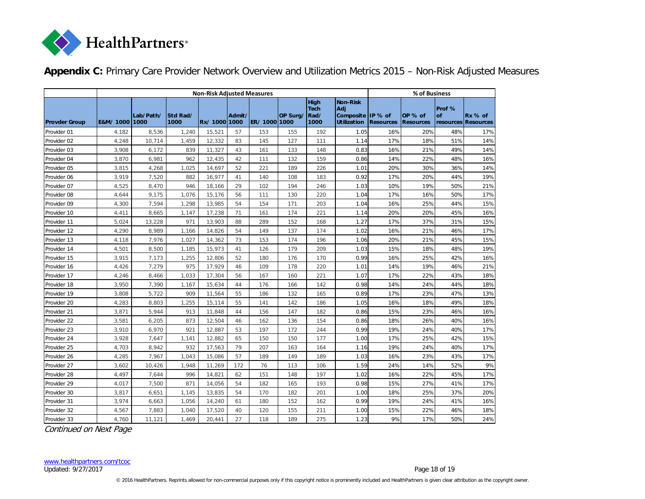

|  |  | Appendix C: Primary Care Provider Network Overview and Utilization Metrics 2015 - Non-Risk Adjusted Measures |  |  |  |
|--|--|--------------------------------------------------------------------------------------------------------------|--|--|--|
|--|--|--------------------------------------------------------------------------------------------------------------|--|--|--|

<span id="page-17-0"></span>

|                      |                |           |                  | <b>Non-Risk Adjusted Measures</b> |        |             |          |                                            |                                                                   | % of Business    |                             |                     |                                  |  |
|----------------------|----------------|-----------|------------------|-----------------------------------|--------|-------------|----------|--------------------------------------------|-------------------------------------------------------------------|------------------|-----------------------------|---------------------|----------------------------------|--|
| <b>Provder Group</b> | E&M/ 1000 1000 | Lab/Path/ | Std Rad/<br>1000 | Rx/10001000                       | Admit/ | ER/10001000 | OP Surg/ | <b>High</b><br><b>Tech</b><br>Rad/<br>1000 | Non-Risk<br><b>Adi</b><br>Composite IP % of<br><b>Utilization</b> | <b>Resources</b> | OP % of<br><b>Resources</b> | Prof %<br><b>of</b> | $Rx %$ of<br>resources Resources |  |
| Provider 01          | 4,182          | 8,536     | 1,240            | 15,521                            | 57     | 153         | 155      | 192                                        | 1.05                                                              | 16%              | 20%                         | 48%                 | 17%                              |  |
| Provider 02          | 4,248          | 10,714    | 1,459            | 12,332                            | 83     | 145         | 127      | 111                                        | 1.14                                                              | 17%              | 18%                         | 51%                 | 14%                              |  |
| Provider 03          | 3,908          | 6,172     | 839              | 11,327                            | 43     | 161         | 133      | 148                                        | 0.83                                                              | 16%              | 21%                         | 49%                 | 14%                              |  |
| Provider 04          | 3,870          | 6,981     | 962              | 12,435                            | 42     | 111         | 132      | 159                                        | 0.86                                                              | 14%              | 22%                         | 48%                 | 16%                              |  |
| Provider 05          | 3,815          | 4,268     | 1,025            | 14,697                            | 52     | 221         | 189      | 226                                        | 1.01                                                              | 20%              | 30%                         | 36%                 | 14%                              |  |
| Provider 06          | 3,919          | 7,520     | 882              | 16,977                            | 41     | 140         | 108      | 183                                        | 0.92                                                              | 17%              | 20%                         | 44%                 | 19%                              |  |
| Provider 07          | 4,525          | 8,470     | 946              | 18,166                            | 29     | 102         | 194      | 246                                        | 1.03                                                              | 10%              | 19%                         | 50%                 | 21%                              |  |
| Provider 08          | 4,644          | 9,175     | 1,076            | 15,176                            | 56     | 111         | 130      | 220                                        | 1.04                                                              | 17%              | 16%                         | 50%                 | 17%                              |  |
| Provider 09          | 4,300          | 7,594     | 1,298            | 13,985                            | 54     | 154         | 171      | 203                                        | 1.04                                                              | 16%              | 25%                         | 44%                 | 15%                              |  |
| Provider 10          | 4,411          | 8,665     | 1,147            | 17,238                            | 71     | 161         | 174      | 221                                        | 1.14                                                              | 20%              | 20%                         | 45%                 | 16%                              |  |
| Provider 11          | 5,024          | 13,228    | 971              | 13,903                            | 88     | 289         | 152      | 168                                        | 1.27                                                              | 17%              | 37%                         | 31%                 | 15%                              |  |
| Provider 12          | 4,290          | 8,989     | 1,166            | 14,826                            | 54     | 149         | 137      | 174                                        | 1.02                                                              | 16%              | 21%                         | 46%                 | 17%                              |  |
| Provider 13          | 4,118          | 7,976     | 1,027            | 14,362                            | 73     | 153         | 174      | 196                                        | 1.06                                                              | 20%              | 21%                         | 45%                 | 15%                              |  |
| Provider 14          | 4,501          | 8,500     | 1,185            | 15,973                            | 41     | 126         | 179      | 209                                        | 1.03                                                              | 15%              | 18%                         | 48%                 | 19%                              |  |
| Provider 15          | 3,915          | 7,173     | 1,255            | 12,806                            | 52     | 180         | 176      | 170                                        | 0.99                                                              | 16%              | 25%                         | 42%                 | 16%                              |  |
| Provider 16          | 4,426          | 7,279     | 975              | 17,929                            | 46     | 109         | 178      | 220                                        | 1.01                                                              | 14%              | 19%                         | 46%                 | 21%                              |  |
| Provider 17          | 4,246          | 8,466     | 1,033            | 17,304                            | 56     | 167         | 160      | 221                                        | 1.07                                                              | 17%              | 22%                         | 43%                 | 18%                              |  |
| Provider 18          | 3,950          | 7,390     | 1,167            | 15,634                            | 44     | 176         | 166      | 142                                        | 0.98                                                              | 14%              | 24%                         | 44%                 | 18%                              |  |
| Provider 19          | 3,808          | 5,722     | 909              | 11,564                            | 55     | 186         | 132      | 165                                        | 0.89                                                              | 17%              | 23%                         | 47%                 | 13%                              |  |
| Provider 20          | 4,283          | 8,803     | 1,255            | 15,114                            | 55     | 141         | 142      | 186                                        | 1.05                                                              | 16%              | 18%                         | 49%                 | 18%                              |  |
| Provider 21          | 3,871          | 5,944     | 913              | 11,848                            | 44     | 156         | 147      | 182                                        | 0.86                                                              | 15%              | 23%                         | 46%                 | 16%                              |  |
| Provider 22          | 3,581          | 6,205     | 873              | 12,504                            | 46     | 162         | 136      | 154                                        | 0.86                                                              | 18%              | 26%                         | 40%                 | 16%                              |  |
| Provider 23          | 3,910          | 6,970     | 921              | 12,887                            | 53     | 197         | 172      | 244                                        | 0.99                                                              | 19%              | 24%                         | 40%                 | 17%                              |  |
| Provider 24          | 3,928          | 7,647     | 1,141            | 12,882                            | 65     | 150         | 150      | 177                                        | 1.00                                                              | 17%              | 25%                         | 42%                 | 15%                              |  |
| Provider 25          | 4,703          | 8,942     | 932              | 17,563                            | 79     | 207         | 163      | 164                                        | 1.16                                                              | 19%              | 24%                         | 40%                 | 17%                              |  |
| Provider 26          | 4,285          | 7,967     | 1,043            | 15,086                            | 57     | 189         | 149      | 189                                        | 1.03                                                              | 16%              | 23%                         | 43%                 | 17%                              |  |
| Provider 27          | 3,602          | 10,426    | 1,948            | 11,269                            | 172    | 76          | 113      | 106                                        | 1.59                                                              | 24%              | 14%                         | 52%                 | 9%                               |  |
| Provider 28          | 4,497          | 7,644     | 996              | 14,821                            | 62     | 151         | 148      | 197                                        | 1.02                                                              | 16%              | 22%                         | 45%                 | 17%                              |  |
| Provider 29          | 4,017          | 7,500     | 871              | 14,056                            | 54     | 182         | 165      | 193                                        | 0.98                                                              | 15%              | 27%                         | 41%                 | 17%                              |  |
| Provider 30          | 3,817          | 6,651     | 1,145            | 13,835                            | 54     | 170         | 182      | 201                                        | 1.00                                                              | 18%              | 25%                         | 37%                 | 20%                              |  |
| Provider 31          | 3,974          | 6,663     | 1,056            | 14,240                            | 61     | 180         | 152      | 162                                        | 0.99                                                              | 19%              | 24%                         | 41%                 | 16%                              |  |
| Provider 32          | 4,567          | 7,883     | 1,040            | 17,520                            | 40     | 120         | 155      | 211                                        | 1.00                                                              | 15%              | 22%                         | 46%                 | 18%                              |  |
| Provider 33          | 4,760          | 11,121    | 1,469            | 20,441                            | 27     | 118         | 189      | 275                                        | 1.23                                                              | 9%               | 17%                         | 50%                 | 24%                              |  |

Continued on Next Page